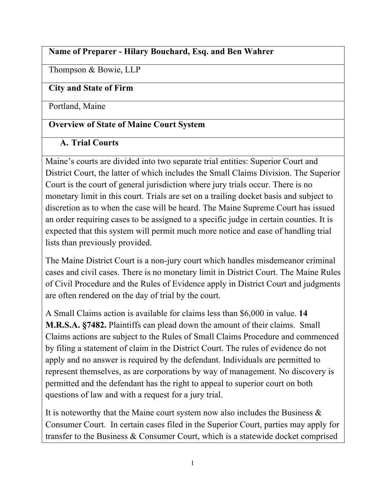## **Name of Preparer - Hilary Bouchard, Esq. and Ben Wahrer**

Thompson & Bowie, LLP

## **City and State of Firm**

Portland, Maine

## **Overview of State of Maine Court System**

## **A. Trial Courts**

Maine's courts are divided into two separate trial entities: Superior Court and District Court, the latter of which includes the Small Claims Division. The Superior Court is the court of general jurisdiction where jury trials occur. There is no monetary limit in this court. Trials are set on a trailing docket basis and subject to discretion as to when the case will be heard. The Maine Supreme Court has issued an order requiring cases to be assigned to a specific judge in certain counties. It is expected that this system will permit much more notice and ease of handling trial lists than previously provided.

The Maine District Court is a non-jury court which handles misdemeanor criminal cases and civil cases. There is no monetary limit in District Court. The Maine Rules of Civil Procedure and the Rules of Evidence apply in District Court and judgments are often rendered on the day of trial by the court.

A Small Claims action is available for claims less than \$6,000 in value. **14 M.R.S.A. §7482.** Plaintiffs can plead down the amount of their claims. Small Claims actions are subject to the Rules of Small Claims Procedure and commenced by filing a statement of claim in the District Court. The rules of evidence do not apply and no answer is required by the defendant. Individuals are permitted to represent themselves, as are corporations by way of management. No discovery is permitted and the defendant has the right to appeal to superior court on both questions of law and with a request for a jury trial.

It is noteworthy that the Maine court system now also includes the Business  $\&$ Consumer Court. In certain cases filed in the Superior Court, parties may apply for transfer to the Business & Consumer Court, which is a statewide docket comprised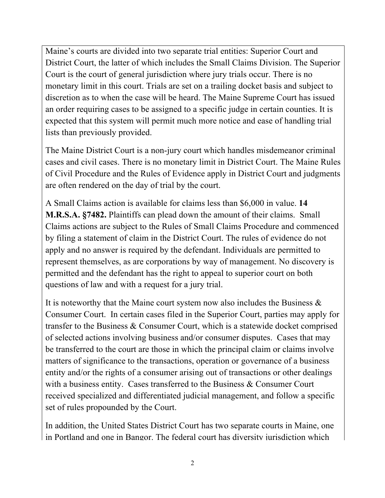Maine's courts are divided into two separate trial entities: Superior Court and District Court, the latter of which includes the Small Claims Division. The Superior Court is the court of general jurisdiction where jury trials occur. There is no monetary limit in this court. Trials are set on a trailing docket basis and subject to discretion as to when the case will be heard. The Maine Supreme Court has issued an order requiring cases to be assigned to a specific judge in certain counties. It is expected that this system will permit much more notice and ease of handling trial lists than previously provided.

The Maine District Court is a non-jury court which handles misdemeanor criminal cases and civil cases. There is no monetary limit in District Court. The Maine Rules of Civil Procedure and the Rules of Evidence apply in District Court and judgments are often rendered on the day of trial by the court.

A Small Claims action is available for claims less than \$6,000 in value. **14 M.R.S.A. §7482.** Plaintiffs can plead down the amount of their claims. Small Claims actions are subject to the Rules of Small Claims Procedure and commenced by filing a statement of claim in the District Court. The rules of evidence do not apply and no answer is required by the defendant. Individuals are permitted to represent themselves, as are corporations by way of management. No discovery is permitted and the defendant has the right to appeal to superior court on both questions of law and with a request for a jury trial.

It is noteworthy that the Maine court system now also includes the Business  $\&$ Consumer Court. In certain cases filed in the Superior Court, parties may apply for transfer to the Business & Consumer Court, which is a statewide docket comprised of selected actions involving business and/or consumer disputes. Cases that may be transferred to the court are those in which the principal claim or claims involve matters of significance to the transactions, operation or governance of a business entity and/or the rights of a consumer arising out of transactions or other dealings with a business entity. Cases transferred to the Business & Consumer Court received specialized and differentiated judicial management, and follow a specific set of rules propounded by the Court.

In addition, the United States District Court has two separate courts in Maine, one in Portland and one in Bangor. The federal court has diversity jurisdiction which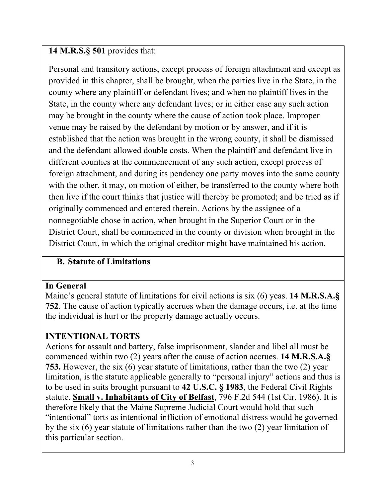## **14 M.R.S.§ 501** provides that:

Personal and transitory actions, except process of foreign attachment and except as provided in this chapter, shall be brought, when the parties live in the State, in the county where any plaintiff or defendant lives; and when no plaintiff lives in the State, in the county where any defendant lives; or in either case any such action may be brought in the county where the cause of action took place. Improper venue may be raised by the defendant by motion or by answer, and if it is established that the action was brought in the wrong county, it shall be dismissed and the defendant allowed double costs. When the plaintiff and defendant live in different counties at the commencement of any such action, except process of foreign attachment, and during its pendency one party moves into the same county with the other, it may, on motion of either, be transferred to the county where both then live if the court thinks that justice will thereby be promoted; and be tried as if originally commenced and entered therein. Actions by the assignee of a nonnegotiable chose in action, when brought in the Superior Court or in the District Court, shall be commenced in the county or division when brought in the District Court, in which the original creditor might have maintained his action.

## **B. Statute of Limitations**

#### **In General**

Maine's general statute of limitations for civil actions is six (6) yeas. **14 M.R.S.A.§ 752**. The cause of action typically accrues when the damage occurs, i.e. at the time the individual is hurt or the property damage actually occurs.

## **INTENTIONAL TORTS**

Actions for assault and battery, false imprisonment, slander and libel all must be commenced within two (2) years after the cause of action accrues. **14 M.R.S.A.§ 753.** However, the six (6) year statute of limitations, rather than the two (2) year limitation, is the statute applicable generally to "personal injury" actions and thus is to be used in suits brought pursuant to **42 U.S.C. § 1983**, the Federal Civil Rights statute. **Small v. Inhabitants of City of Belfast**, 796 F.2d 544 (1st Cir. 1986). It is therefore likely that the Maine Supreme Judicial Court would hold that such "intentional" torts as intentional infliction of emotional distress would be governed by the six (6) year statute of limitations rather than the two (2) year limitation of this particular section.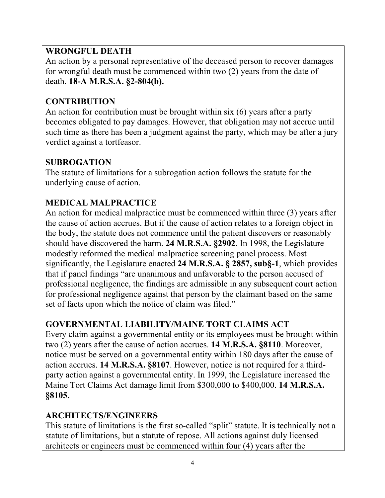## **WRONGFUL DEATH**

An action by a personal representative of the deceased person to recover damages for wrongful death must be commenced within two (2) years from the date of death. **18-A M.R.S.A. §2-804(b).**

## **CONTRIBUTION**

An action for contribution must be brought within six (6) years after a party becomes obligated to pay damages. However, that obligation may not accrue until such time as there has been a judgment against the party, which may be after a jury verdict against a tortfeasor.

## **SUBROGATION**

The statute of limitations for a subrogation action follows the statute for the underlying cause of action.

## **MEDICAL MALPRACTICE**

An action for medical malpractice must be commenced within three (3) years after the cause of action accrues. But if the cause of action relates to a foreign object in the body, the statute does not commence until the patient discovers or reasonably should have discovered the harm. **24 M.R.S.A. §2902**. In 1998, the Legislature modestly reformed the medical malpractice screening panel process. Most significantly, the Legislature enacted **24 M.R.S.A. § 2857, sub§-1**, which provides that if panel findings "are unanimous and unfavorable to the person accused of professional negligence, the findings are admissible in any subsequent court action for professional negligence against that person by the claimant based on the same set of facts upon which the notice of claim was filed."

## **GOVERNMENTAL LIABILITY/MAINE TORT CLAIMS ACT**

Every claim against a governmental entity or its employees must be brought within two (2) years after the cause of action accrues. **14 M.R.S.A. §8110**. Moreover, notice must be served on a governmental entity within 180 days after the cause of action accrues. **14 M.R.S.A. §8107**. However, notice is not required for a thirdparty action against a governmental entity. In 1999, the Legislature increased the Maine Tort Claims Act damage limit from \$300,000 to \$400,000. **14 M.R.S.A. §8105.**

## **ARCHITECTS/ENGINEERS**

This statute of limitations is the first so-called "split" statute. It is technically not a statute of limitations, but a statute of repose. All actions against duly licensed architects or engineers must be commenced within four (4) years after the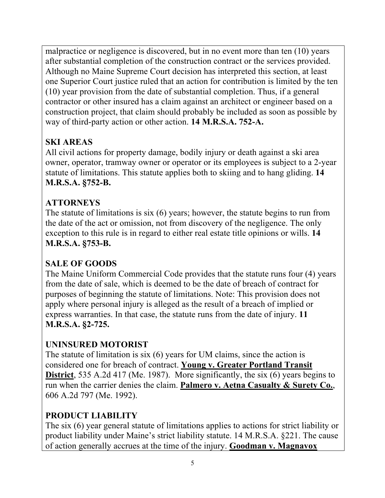malpractice or negligence is discovered, but in no event more than ten (10) years after substantial completion of the construction contract or the services provided. Although no Maine Supreme Court decision has interpreted this section, at least one Superior Court justice ruled that an action for contribution is limited by the ten (10) year provision from the date of substantial completion. Thus, if a general contractor or other insured has a claim against an architect or engineer based on a construction project, that claim should probably be included as soon as possible by way of third-party action or other action. **14 M.R.S.A. 752-A.**

# **SKI AREAS**

All civil actions for property damage, bodily injury or death against a ski area owner, operator, tramway owner or operator or its employees is subject to a 2-year statute of limitations. This statute applies both to skiing and to hang gliding. **14 M.R.S.A. §752-B.**

## **ATTORNEYS**

The statute of limitations is six (6) years; however, the statute begins to run from the date of the act or omission, not from discovery of the negligence. The only exception to this rule is in regard to either real estate title opinions or wills. **14 M.R.S.A. §753-B.**

## **SALE OF GOODS**

The Maine Uniform Commercial Code provides that the statute runs four (4) years from the date of sale, which is deemed to be the date of breach of contract for purposes of beginning the statute of limitations. Note: This provision does not apply where personal injury is alleged as the result of a breach of implied or express warranties. In that case, the statute runs from the date of injury. **11 M.R.S.A. §2-725.**

## **UNINSURED MOTORIST**

The statute of limitation is six (6) years for UM claims, since the action is considered one for breach of contract. **Young v. Greater Portland Transit District**, 535 A.2d 417 (Me. 1987). More significantly, the six (6) years begins to run when the carrier denies the claim. **Palmero v. Aetna Casualty & Surety Co.**, 606 A.2d 797 (Me. 1992).

## **PRODUCT LIABILITY**

The six (6) year general statute of limitations applies to actions for strict liability or product liability under Maine's strict liability statute. 14 M.R.S.A. §221. The cause of action generally accrues at the time of the injury. **Goodman v. Magnavox**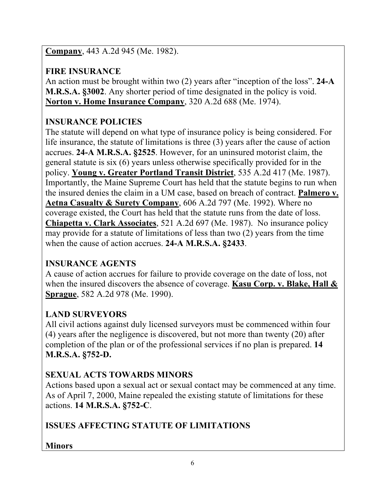**Company**, 443 A.2d 945 (Me. 1982).

# **FIRE INSURANCE**

An action must be brought within two (2) years after "inception of the loss". **24-A M.R.S.A. §3002**. Any shorter period of time designated in the policy is void. **Norton v. Home Insurance Company**, 320 A.2d 688 (Me. 1974).

# **INSURANCE POLICIES**

The statute will depend on what type of insurance policy is being considered. For life insurance, the statute of limitations is three (3) years after the cause of action accrues. **24-A M.R.S.A. §2525**. However, for an uninsured motorist claim, the general statute is six (6) years unless otherwise specifically provided for in the policy. **Young v. Greater Portland Transit District**, 535 A.2d 417 (Me. 1987). Importantly, the Maine Supreme Court has held that the statute begins to run when the insured denies the claim in a UM case, based on breach of contract. **Palmero v. Aetna Casualty & Surety Company**, 606 A.2d 797 (Me. 1992). Where no coverage existed, the Court has held that the statute runs from the date of loss. **Chiapetta v. Clark Associates**, 521 A.2d 697 (Me. 1987). No insurance policy may provide for a statute of limitations of less than two (2) years from the time when the cause of action accrues. **24-A M.R.S.A. §2433**.

## **INSURANCE AGENTS**

A cause of action accrues for failure to provide coverage on the date of loss, not when the insured discovers the absence of coverage. **Kasu Corp. v. Blake, Hall & Sprague**, 582 A.2d 978 (Me. 1990).

## **LAND SURVEYORS**

All civil actions against duly licensed surveyors must be commenced within four (4) years after the negligence is discovered, but not more than twenty (20) after completion of the plan or of the professional services if no plan is prepared. **14 M.R.S.A. §752-D.**

## **SEXUAL ACTS TOWARDS MINORS**

Actions based upon a sexual act or sexual contact may be commenced at any time. As of April 7, 2000, Maine repealed the existing statute of limitations for these actions. **14 M.R.S.A. §752-C**.

# **ISSUES AFFECTING STATUTE OF LIMITATIONS**

## **Minors**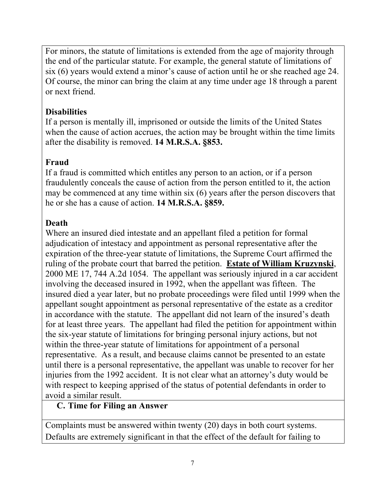For minors, the statute of limitations is extended from the age of majority through the end of the particular statute. For example, the general statute of limitations of six (6) years would extend a minor's cause of action until he or she reached age 24. Of course, the minor can bring the claim at any time under age 18 through a parent or next friend.

## **Disabilities**

If a person is mentally ill, imprisoned or outside the limits of the United States when the cause of action accrues, the action may be brought within the time limits after the disability is removed. **14 M.R.S.A. §853.**

## **Fraud**

If a fraud is committed which entitles any person to an action, or if a person fraudulently conceals the cause of action from the person entitled to it, the action may be commenced at any time within six (6) years after the person discovers that he or she has a cause of action. **14 M.R.S.A. §859.**

## **Death**

Where an insured died intestate and an appellant filed a petition for formal adjudication of intestacy and appointment as personal representative after the expiration of the three-year statute of limitations, the Supreme Court affirmed the ruling of the probate court that barred the petition. **Estate of William Kruzynski**, 2000 ME 17, 744 A.2d 1054. The appellant was seriously injured in a car accident involving the deceased insured in 1992, when the appellant was fifteen. The insured died a year later, but no probate proceedings were filed until 1999 when the appellant sought appointment as personal representative of the estate as a creditor in accordance with the statute. The appellant did not learn of the insured's death for at least three years. The appellant had filed the petition for appointment within the six-year statute of limitations for bringing personal injury actions, but not within the three-year statute of limitations for appointment of a personal representative. As a result, and because claims cannot be presented to an estate until there is a personal representative, the appellant was unable to recover for her injuries from the 1992 accident. It is not clear what an attorney's duty would be with respect to keeping apprised of the status of potential defendants in order to avoid a similar result.

#### **C. Time for Filing an Answer**

Complaints must be answered within twenty (20) days in both court systems. Defaults are extremely significant in that the effect of the default for failing to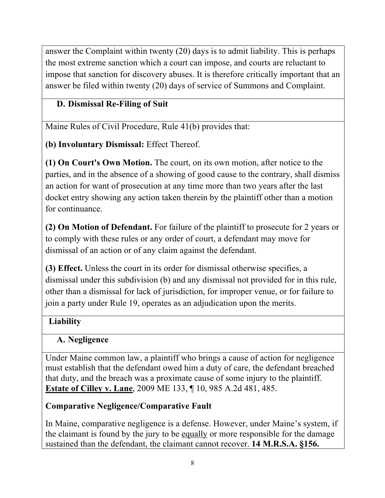answer the Complaint within twenty (20) days is to admit liability. This is perhaps the most extreme sanction which a court can impose, and courts are reluctant to impose that sanction for discovery abuses. It is therefore critically important that an answer be filed within twenty (20) days of service of Summons and Complaint.

## **D. Dismissal Re-Filing of Suit**

Maine Rules of Civil Procedure, Rule 41(b) provides that:

**(b) Involuntary Dismissal:** Effect Thereof.

**(1) On Court's Own Motion.** The court, on its own motion, after notice to the parties, and in the absence of a showing of good cause to the contrary, shall dismiss an action for want of prosecution at any time more than two years after the last docket entry showing any action taken therein by the plaintiff other than a motion for continuance.

**(2) On Motion of Defendant.** For failure of the plaintiff to prosecute for 2 years or to comply with these rules or any order of court, a defendant may move for dismissal of an action or of any claim against the defendant.

**(3) Effect.** Unless the court in its order for dismissal otherwise specifies, a dismissal under this subdivision (b) and any dismissal not provided for in this rule, other than a dismissal for lack of jurisdiction, for improper venue, or for failure to join a party under Rule 19, operates as an adjudication upon the merits.

## **Liability**

## **A. Negligence**

Under Maine common law, a plaintiff who brings a cause of action for negligence must establish that the defendant owed him a duty of care, the defendant breached that duty, and the breach was a proximate cause of some injury to the plaintiff. **Estate of Cilley v. Lane**, 2009 ME 133, ¶ 10, 985 A.2d 481, 485.

## **Comparative Negligence/Comparative Fault**

In Maine, comparative negligence is a defense. However, under Maine's system, if the claimant is found by the jury to be equally or more responsible for the damage sustained than the defendant, the claimant cannot recover. **14 M.R.S.A. §156.**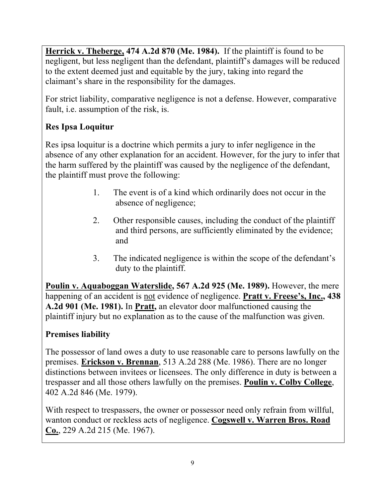**Herrick v. Theberge, 474 A.2d 870 (Me. 1984).** If the plaintiff is found to be negligent, but less negligent than the defendant, plaintiff's damages will be reduced to the extent deemed just and equitable by the jury, taking into regard the claimant's share in the responsibility for the damages.

For strict liability, comparative negligence is not a defense. However, comparative fault, i.e. assumption of the risk, is.

## **Res Ipsa Loquitur**

Res ipsa loquitur is a doctrine which permits a jury to infer negligence in the absence of any other explanation for an accident. However, for the jury to infer that the harm suffered by the plaintiff was caused by the negligence of the defendant, the plaintiff must prove the following:

- 1. The event is of a kind which ordinarily does not occur in the absence of negligence;
- 2. Other responsible causes, including the conduct of the plaintiff and third persons, are sufficiently eliminated by the evidence; and
- 3. The indicated negligence is within the scope of the defendant's duty to the plaintiff.

**Poulin v. Aquaboggan Waterslide, 567 A.2d 925 (Me. 1989).** However, the mere happening of an accident is not evidence of negligence. **Pratt v. Freese's, Inc., 438 A.2d 901 (Me. 1981).** In **Pratt,** an elevator door malfunctioned causing the plaintiff injury but no explanation as to the cause of the malfunction was given.

## **Premises liability**

The possessor of land owes a duty to use reasonable care to persons lawfully on the premises. **Erickson v. Brennan**, 513 A.2d 288 (Me. 1986). There are no longer distinctions between invitees or licensees. The only difference in duty is between a trespasser and all those others lawfully on the premises. **Poulin v. Colby College**, 402 A.2d 846 (Me. 1979).

With respect to trespassers, the owner or possessor need only refrain from willful, wanton conduct or reckless acts of negligence. **Cogswell v. Warren Bros. Road Co.**, 229 A.2d 215 (Me. 1967).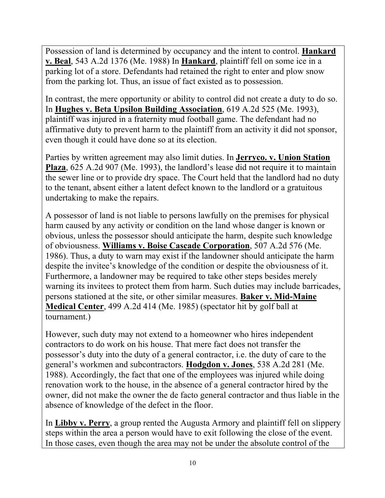Possession of land is determined by occupancy and the intent to control. **Hankard v. Beal**, 543 A.2d 1376 (Me. 1988) In **Hankard**, plaintiff fell on some ice in a parking lot of a store. Defendants had retained the right to enter and plow snow from the parking lot. Thus, an issue of fact existed as to possession.

In contrast, the mere opportunity or ability to control did not create a duty to do so. In **Hughes v. Beta Upsilon Building Association**, 619 A.2d 525 (Me. 1993), plaintiff was injured in a fraternity mud football game. The defendant had no affirmative duty to prevent harm to the plaintiff from an activity it did not sponsor, even though it could have done so at its election.

Parties by written agreement may also limit duties. In **Jerryco. v. Union Station Plaza**, 625 A.2d 907 (Me. 1993), the landlord's lease did not require it to maintain the sewer line or to provide dry space. The Court held that the landlord had no duty to the tenant, absent either a latent defect known to the landlord or a gratuitous undertaking to make the repairs.

A possessor of land is not liable to persons lawfully on the premises for physical harm caused by any activity or condition on the land whose danger is known or obvious, unless the possessor should anticipate the harm, despite such knowledge of obviousness. **Williams v. Boise Cascade Corporation**, 507 A.2d 576 (Me. 1986). Thus, a duty to warn may exist if the landowner should anticipate the harm despite the invitee's knowledge of the condition or despite the obviousness of it. Furthermore, a landowner may be required to take other steps besides merely warning its invitees to protect them from harm. Such duties may include barricades, persons stationed at the site, or other similar measures. **Baker v. Mid-Maine Medical Center**, 499 A.2d 414 (Me. 1985) (spectator hit by golf ball at tournament.)

However, such duty may not extend to a homeowner who hires independent contractors to do work on his house. That mere fact does not transfer the possessor's duty into the duty of a general contractor, i.e. the duty of care to the general's workmen and subcontractors. **Hodgdon v. Jones**, 538 A.2d 281 (Me. 1988). Accordingly, the fact that one of the employees was injured while doing renovation work to the house, in the absence of a general contractor hired by the owner, did not make the owner the de facto general contractor and thus liable in the absence of knowledge of the defect in the floor.

In **Libby v. Perry**, a group rented the Augusta Armory and plaintiff fell on slippery steps within the area a person would have to exit following the close of the event. In those cases, even though the area may not be under the absolute control of the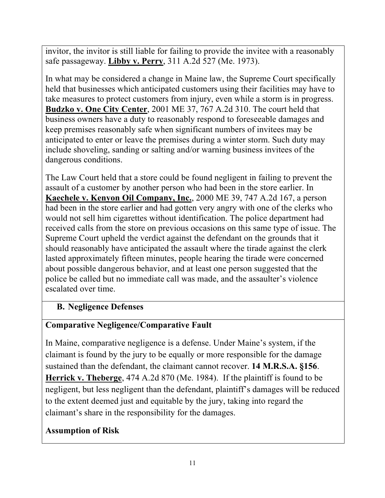invitor, the invitor is still liable for failing to provide the invitee with a reasonably safe passageway. **Libby v. Perry**, 311 A.2d 527 (Me. 1973).

In what may be considered a change in Maine law, the Supreme Court specifically held that businesses which anticipated customers using their facilities may have to take measures to protect customers from injury, even while a storm is in progress. **Budzko v. One City Center**, 2001 ME 37, 767 A.2d 310. The court held that business owners have a duty to reasonably respond to foreseeable damages and keep premises reasonably safe when significant numbers of invitees may be anticipated to enter or leave the premises during a winter storm. Such duty may include shoveling, sanding or salting and/or warning business invitees of the dangerous conditions.

The Law Court held that a store could be found negligent in failing to prevent the assault of a customer by another person who had been in the store earlier. In **Kaechele v. Kenyon Oil Company, Inc.**, 2000 ME 39, 747 A.2d 167, a person had been in the store earlier and had gotten very angry with one of the clerks who would not sell him cigarettes without identification. The police department had received calls from the store on previous occasions on this same type of issue. The Supreme Court upheld the verdict against the defendant on the grounds that it should reasonably have anticipated the assault where the tirade against the clerk lasted approximately fifteen minutes, people hearing the tirade were concerned about possible dangerous behavior, and at least one person suggested that the police be called but no immediate call was made, and the assaulter's violence escalated over time.

## **B. Negligence Defenses**

#### **Comparative Negligence/Comparative Fault**

In Maine, comparative negligence is a defense. Under Maine's system, if the claimant is found by the jury to be equally or more responsible for the damage sustained than the defendant, the claimant cannot recover. **14 M.R.S.A. §156**. **Herrick v. Theberge**, 474 A.2d 870 (Me. 1984). If the plaintiff is found to be negligent, but less negligent than the defendant, plaintiff's damages will be reduced to the extent deemed just and equitable by the jury, taking into regard the claimant's share in the responsibility for the damages.

#### **Assumption of Risk**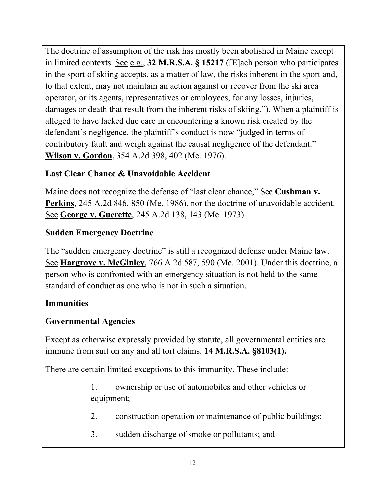The doctrine of assumption of the risk has mostly been abolished in Maine except in limited contexts. See e.g., **32 M.R.S.A. § 15217** ([E]ach person who participates in the sport of skiing accepts, as a matter of law, the risks inherent in the sport and, to that extent, may not maintain an action against or recover from the ski area operator, or its agents, representatives or employees, for any losses, injuries, damages or death that result from the inherent risks of skiing."). When a plaintiff is alleged to have lacked due care in encountering a known risk created by the defendant's negligence, the plaintiff's conduct is now "judged in terms of contributory fault and weigh against the causal negligence of the defendant." **Wilson v. Gordon**, 354 A.2d 398, 402 (Me. 1976).

## **Last Clear Chance & Unavoidable Accident**

Maine does not recognize the defense of "last clear chance," See **Cushman v. Perkins**, 245 A.2d 846, 850 (Me. 1986), nor the doctrine of unavoidable accident. See **George v. Guerette**, 245 A.2d 138, 143 (Me. 1973).

## **Sudden Emergency Doctrine**

The "sudden emergency doctrine" is still a recognized defense under Maine law. See **Hargrove v. McGinley**, 766 A.2d 587, 590 (Me. 2001). Under this doctrine, a person who is confronted with an emergency situation is not held to the same standard of conduct as one who is not in such a situation.

## **Immunities**

## **Governmental Agencies**

Except as otherwise expressly provided by statute, all governmental entities are immune from suit on any and all tort claims. **14 M.R.S.A. §8103(1).**

There are certain limited exceptions to this immunity. These include:

- 1. ownership or use of automobiles and other vehicles or equipment;
- 2. construction operation or maintenance of public buildings;
- 3. sudden discharge of smoke or pollutants; and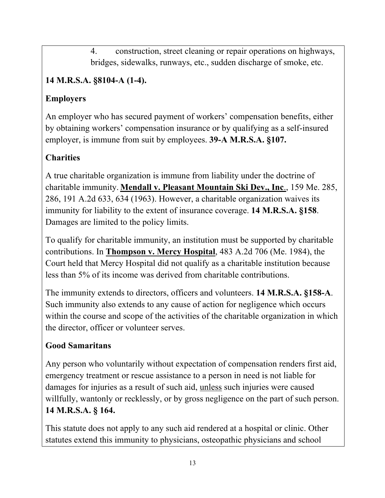4. construction, street cleaning or repair operations on highways, bridges, sidewalks, runways, etc., sudden discharge of smoke, etc.

# **14 M.R.S.A. §8104-A (1-4).**

## **Employers**

An employer who has secured payment of workers' compensation benefits, either by obtaining workers' compensation insurance or by qualifying as a self-insured employer, is immune from suit by employees. **39-A M.R.S.A. §107.**

## **Charities**

A true charitable organization is immune from liability under the doctrine of charitable immunity. **Mendall v. Pleasant Mountain Ski Dev., Inc**., 159 Me. 285, 286, 191 A.2d 633, 634 (1963). However, a charitable organization waives its immunity for liability to the extent of insurance coverage. **14 M.R.S.A. §158**. Damages are limited to the policy limits.

To qualify for charitable immunity, an institution must be supported by charitable contributions. In **Thompson v. Mercy Hospital**, 483 A.2d 706 (Me. 1984), the Court held that Mercy Hospital did not qualify as a charitable institution because less than 5% of its income was derived from charitable contributions.

The immunity extends to directors, officers and volunteers. **14 M.R.S.A. §158-A**. Such immunity also extends to any cause of action for negligence which occurs within the course and scope of the activities of the charitable organization in which the director, officer or volunteer serves.

## **Good Samaritans**

Any person who voluntarily without expectation of compensation renders first aid, emergency treatment or rescue assistance to a person in need is not liable for damages for injuries as a result of such aid, unless such injuries were caused willfully, wantonly or recklessly, or by gross negligence on the part of such person. **14 M.R.S.A. § 164.**

This statute does not apply to any such aid rendered at a hospital or clinic. Other statutes extend this immunity to physicians, osteopathic physicians and school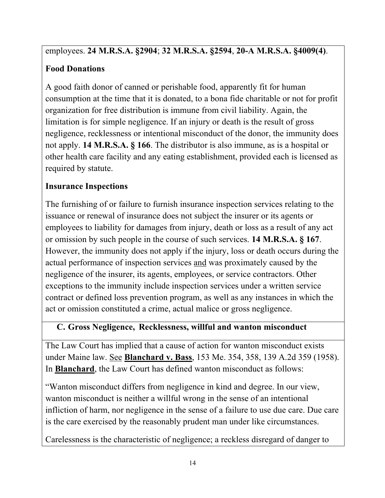## employees. **24 M.R.S.A. §2904**; **32 M.R.S.A. §2594**, **20-A M.R.S.A. §4009(4)**.

## **Food Donations**

A good faith donor of canned or perishable food, apparently fit for human consumption at the time that it is donated, to a bona fide charitable or not for profit organization for free distribution is immune from civil liability. Again, the limitation is for simple negligence. If an injury or death is the result of gross negligence, recklessness or intentional misconduct of the donor, the immunity does not apply. **14 M.R.S.A. § 166**. The distributor is also immune, as is a hospital or other health care facility and any eating establishment, provided each is licensed as required by statute.

## **Insurance Inspections**

The furnishing of or failure to furnish insurance inspection services relating to the issuance or renewal of insurance does not subject the insurer or its agents or employees to liability for damages from injury, death or loss as a result of any act or omission by such people in the course of such services. **14 M.R.S.A. § 167**. However, the immunity does not apply if the injury, loss or death occurs during the actual performance of inspection services and was proximately caused by the negligence of the insurer, its agents, employees, or service contractors. Other exceptions to the immunity include inspection services under a written service contract or defined loss prevention program, as well as any instances in which the act or omission constituted a crime, actual malice or gross negligence.

## **C. Gross Negligence, Recklessness, willful and wanton misconduct**

The Law Court has implied that a cause of action for wanton misconduct exists under Maine law. See **Blanchard v. Bass**, 153 Me. 354, 358, 139 A.2d 359 (1958). In **Blanchard**, the Law Court has defined wanton misconduct as follows:

"Wanton misconduct differs from negligence in kind and degree. In our view, wanton misconduct is neither a willful wrong in the sense of an intentional infliction of harm, nor negligence in the sense of a failure to use due care. Due care is the care exercised by the reasonably prudent man under like circumstances.

Carelessness is the characteristic of negligence; a reckless disregard of danger to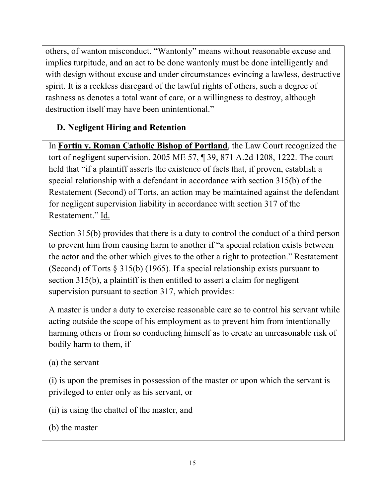others, of wanton misconduct. "Wantonly" means without reasonable excuse and implies turpitude, and an act to be done wantonly must be done intelligently and with design without excuse and under circumstances evincing a lawless, destructive spirit. It is a reckless disregard of the lawful rights of others, such a degree of rashness as denotes a total want of care, or a willingness to destroy, although destruction itself may have been unintentional."

## **D. Negligent Hiring and Retention**

In **Fortin v. Roman Catholic Bishop of Portland**, the Law Court recognized the tort of negligent supervision. 2005 ME 57, ¶ 39, 871 A.2d 1208, 1222. The court held that "if a plaintiff asserts the existence of facts that, if proven, establish a special relationship with a defendant in accordance with section 315(b) of the Restatement (Second) of Torts, an action may be maintained against the defendant for negligent supervision liability in accordance with section 317 of the Restatement." Id.

Section 315(b) provides that there is a duty to control the conduct of a third person to prevent him from causing harm to another if "a special relation exists between the actor and the other which gives to the other a right to protection." Restatement (Second) of Torts § 315(b) (1965). If a special relationship exists pursuant to section 315(b), a plaintiff is then entitled to assert a claim for negligent supervision pursuant to section 317, which provides:

A master is under a duty to exercise reasonable care so to control his servant while acting outside the scope of his employment as to prevent him from intentionally harming others or from so conducting himself as to create an unreasonable risk of bodily harm to them, if

(a) the servant

(i) is upon the premises in possession of the master or upon which the servant is privileged to enter only as his servant, or

- (ii) is using the chattel of the master, and
- (b) the master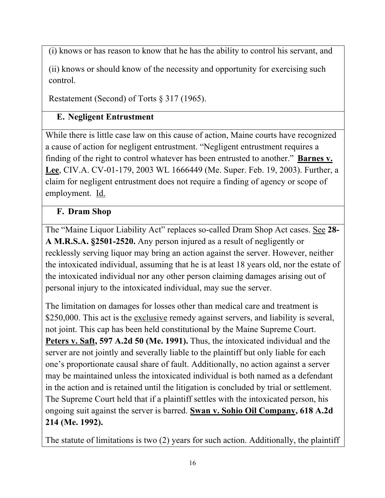(i) knows or has reason to know that he has the ability to control his servant, and

(ii) knows or should know of the necessity and opportunity for exercising such control.

Restatement (Second) of Torts § 317 (1965).

## **E. Negligent Entrustment**

While there is little case law on this cause of action, Maine courts have recognized a cause of action for negligent entrustment. "Negligent entrustment requires a finding of the right to control whatever has been entrusted to another." **Barnes v. Lee**, CIV.A. CV-01-179, 2003 WL 1666449 (Me. Super. Feb. 19, 2003). Further, a claim for negligent entrustment does not require a finding of agency or scope of employment. Id.

## **F. Dram Shop**

The "Maine Liquor Liability Act" replaces so-called Dram Shop Act cases. See **28- A M.R.S.A. §2501-2520.** Any person injured as a result of negligently or recklessly serving liquor may bring an action against the server. However, neither the intoxicated individual, assuming that he is at least 18 years old, nor the estate of the intoxicated individual nor any other person claiming damages arising out of personal injury to the intoxicated individual, may sue the server.

The limitation on damages for losses other than medical care and treatment is \$250,000. This act is the exclusive remedy against servers, and liability is several, not joint. This cap has been held constitutional by the Maine Supreme Court. **Peters v. Saft, 597 A.2d 50 (Me. 1991).** Thus, the intoxicated individual and the server are not jointly and severally liable to the plaintiff but only liable for each one's proportionate causal share of fault. Additionally, no action against a server may be maintained unless the intoxicated individual is both named as a defendant in the action and is retained until the litigation is concluded by trial or settlement. The Supreme Court held that if a plaintiff settles with the intoxicated person, his ongoing suit against the server is barred. **Swan v. Sohio Oil Company, 618 A.2d 214 (Me. 1992).**

The statute of limitations is two (2) years for such action. Additionally, the plaintiff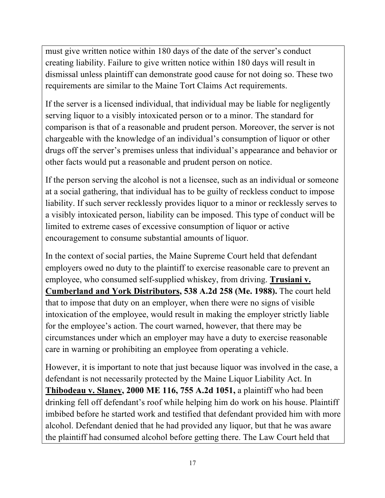must give written notice within 180 days of the date of the server's conduct creating liability. Failure to give written notice within 180 days will result in dismissal unless plaintiff can demonstrate good cause for not doing so. These two requirements are similar to the Maine Tort Claims Act requirements.

If the server is a licensed individual, that individual may be liable for negligently serving liquor to a visibly intoxicated person or to a minor. The standard for comparison is that of a reasonable and prudent person. Moreover, the server is not chargeable with the knowledge of an individual's consumption of liquor or other drugs off the server's premises unless that individual's appearance and behavior or other facts would put a reasonable and prudent person on notice.

If the person serving the alcohol is not a licensee, such as an individual or someone at a social gathering, that individual has to be guilty of reckless conduct to impose liability. If such server recklessly provides liquor to a minor or recklessly serves to a visibly intoxicated person, liability can be imposed. This type of conduct will be limited to extreme cases of excessive consumption of liquor or active encouragement to consume substantial amounts of liquor.

In the context of social parties, the Maine Supreme Court held that defendant employers owed no duty to the plaintiff to exercise reasonable care to prevent an employee, who consumed self-supplied whiskey, from driving. **Trusiani v. Cumberland and York Distributors, 538 A.2d 258 (Me. 1988).** The court held that to impose that duty on an employer, when there were no signs of visible intoxication of the employee, would result in making the employer strictly liable for the employee's action. The court warned, however, that there may be circumstances under which an employer may have a duty to exercise reasonable care in warning or prohibiting an employee from operating a vehicle.

However, it is important to note that just because liquor was involved in the case, a defendant is not necessarily protected by the Maine Liquor Liability Act. In **Thibodeau v. Slaney, 2000 ME 116, 755 A.2d 1051,** a plaintiff who had been drinking fell off defendant's roof while helping him do work on his house. Plaintiff imbibed before he started work and testified that defendant provided him with more alcohol. Defendant denied that he had provided any liquor, but that he was aware the plaintiff had consumed alcohol before getting there. The Law Court held that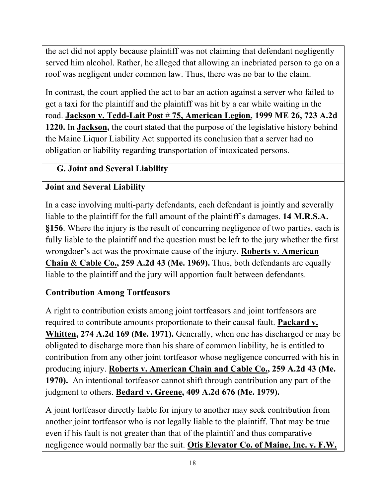the act did not apply because plaintiff was not claiming that defendant negligently served him alcohol. Rather, he alleged that allowing an inebriated person to go on a roof was negligent under common law. Thus, there was no bar to the claim.

In contrast, the court applied the act to bar an action against a server who failed to get a taxi for the plaintiff and the plaintiff was hit by a car while waiting in the road. **Jackson v. Tedd-Lait Post** # **75, American Legion, 1999 ME 26, 723 A.2d 1220.** In **Jackson,** the court stated that the purpose of the legislative history behind the Maine Liquor Liability Act supported its conclusion that a server had no obligation or liability regarding transportation of intoxicated persons.

## **G. Joint and Several Liability**

## **Joint and Several Liability**

In a case involving multi-party defendants, each defendant is jointly and severally liable to the plaintiff for the full amount of the plaintiff's damages. **14 M.R.S.A. §156**. Where the injury is the result of concurring negligence of two parties, each is fully liable to the plaintiff and the question must be left to the jury whether the first wrongdoer's act was the proximate cause of the injury. **Roberts v. American Chain** & **Cable Co., 259 A.2d 43 (Me. 1969).** Thus, both defendants are equally liable to the plaintiff and the jury will apportion fault between defendants.

## **Contribution Among Tortfeasors**

A right to contribution exists among joint tortfeasors and joint tortfeasors are required to contribute amounts proportionate to their causal fault. **Packard v. Whitten, 274 A.2d 169 (Me. 1971).** Generally, when one has discharged or may be obligated to discharge more than his share of common liability, he is entitled to contribution from any other joint tortfeasor whose negligence concurred with his in producing injury. **Roberts v. American Chain and Cable Co., 259 A.2d 43 (Me. 1970).** An intentional tortfeasor cannot shift through contribution any part of the judgment to others. **Bedard v. Greene, 409 A.2d 676 (Me. 1979).**

A joint tortfeasor directly liable for injury to another may seek contribution from another joint tortfeasor who is not legally liable to the plaintiff. That may be true even if his fault is not greater than that of the plaintiff and thus comparative negligence would normally bar the suit. **Otis Elevator Co. of Maine, Inc. v. F.W.**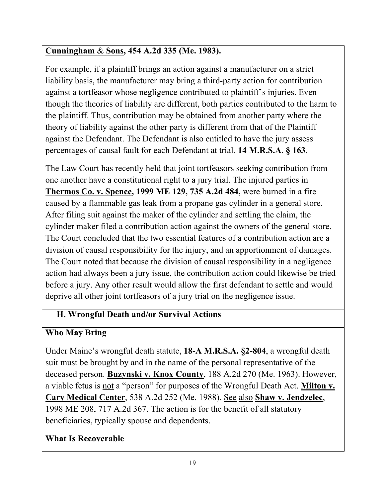# **Cunningham** & **Sons, 454 A.2d 335 (Me. 1983).**

For example, if a plaintiff brings an action against a manufacturer on a strict liability basis, the manufacturer may bring a third-party action for contribution against a tortfeasor whose negligence contributed to plaintiff's injuries. Even though the theories of liability are different, both parties contributed to the harm to the plaintiff. Thus, contribution may be obtained from another party where the theory of liability against the other party is different from that of the Plaintiff against the Defendant. The Defendant is also entitled to have the jury assess percentages of causal fault for each Defendant at trial. **14 M.R.S.A. § 163**.

The Law Court has recently held that joint tortfeasors seeking contribution from one another have a constitutional right to a jury trial. The injured parties in **Thermos Co. v. Spence, 1999 ME 129, 735 A.2d 484,** were burned in a fire caused by a flammable gas leak from a propane gas cylinder in a general store. After filing suit against the maker of the cylinder and settling the claim, the cylinder maker filed a contribution action against the owners of the general store. The Court concluded that the two essential features of a contribution action are a division of causal responsibility for the injury, and an apportionment of damages. The Court noted that because the division of causal responsibility in a negligence action had always been a jury issue, the contribution action could likewise be tried before a jury. Any other result would allow the first defendant to settle and would deprive all other joint tortfeasors of a jury trial on the negligence issue.

# **H. Wrongful Death and/or Survival Actions**

# **Who May Bring**

Under Maine's wrongful death statute, **18-A M.R.S.A. §2-804**, a wrongful death suit must be brought by and in the name of the personal representative of the deceased person. **Buzynski v. Knox County**, 188 A.2d 270 (Me. 1963). However, a viable fetus is not a "person" for purposes of the Wrongful Death Act. **Milton v. Cary Medical Center**, 538 A.2d 252 (Me. 1988). See also **Shaw v. Jendzelec**, 1998 ME 208, 717 A.2d 367. The action is for the benefit of all statutory beneficiaries, typically spouse and dependents.

# **What Is Recoverable**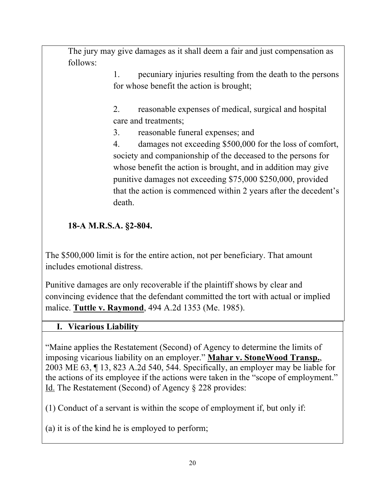The jury may give damages as it shall deem a fair and just compensation as follows:

> 1. pecuniary injuries resulting from the death to the persons for whose benefit the action is brought;

2. reasonable expenses of medical, surgical and hospital care and treatments;

3. reasonable funeral expenses; and

4. damages not exceeding \$500,000 for the loss of comfort, society and companionship of the deceased to the persons for whose benefit the action is brought, and in addition may give punitive damages not exceeding \$75,000 \$250,000, provided that the action is commenced within 2 years after the decedent's death.

## **18-A M.R.S.A. §2-804.**

The \$500,000 limit is for the entire action, not per beneficiary. That amount includes emotional distress.

Punitive damages are only recoverable if the plaintiff shows by clear and convincing evidence that the defendant committed the tort with actual or implied malice. **Tuttle v. Raymond**, 494 A.2d 1353 (Me. 1985).

#### **I. Vicarious Liability**

"Maine applies the Restatement (Second) of Agency to determine the limits of imposing vicarious liability on an employer." **Mahar v. StoneWood Transp.**, 2003 ME 63, ¶ 13, 823 A.2d 540, 544. Specifically, an employer may be liable for the actions of its employee if the actions were taken in the "scope of employment." Id. The Restatement (Second) of Agency § 228 provides:

(1) Conduct of a servant is within the scope of employment if, but only if:

(a) it is of the kind he is employed to perform;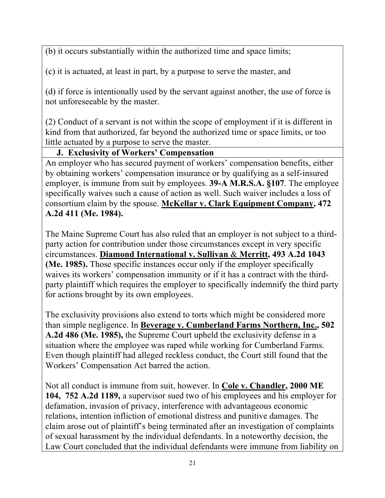(b) it occurs substantially within the authorized time and space limits;

(c) it is actuated, at least in part, by a purpose to serve the master, and

(d) if force is intentionally used by the servant against another, the use of force is not unforeseeable by the master.

(2) Conduct of a servant is not within the scope of employment if it is different in kind from that authorized, far beyond the authorized time or space limits, or too little actuated by a purpose to serve the master.

#### **J. Exclusivity of Workers' Compensation**

An employer who has secured payment of workers' compensation benefits, either by obtaining workers' compensation insurance or by qualifying as a self-insured employer, is immune from suit by employees. **39-A M.R.S.A. §107**. The employee specifically waives such a cause of action as well. Such waiver includes a loss of consortium claim by the spouse. **McKellar v. Clark Equipment Company, 472 A.2d 411 (Me. 1984).**

The Maine Supreme Court has also ruled that an employer is not subject to a thirdparty action for contribution under those circumstances except in very specific circumstances. **Diamond International v. Sullivan** & **Merritt, 493 A.2d 1043 (Me. 1985).** Those specific instances occur only if the employer specifically waives its workers' compensation immunity or if it has a contract with the thirdparty plaintiff which requires the employer to specifically indemnify the third party for actions brought by its own employees.

The exclusivity provisions also extend to torts which might be considered more than simple negligence. In **Beverage v. Cumberland Farms Northern, Inc., 502 A.2d 486 (Me. 1985),** the Supreme Court upheld the exclusivity defense in a situation where the employee was raped while working for Cumberland Farms. Even though plaintiff had alleged reckless conduct, the Court still found that the Workers' Compensation Act barred the action.

Not all conduct is immune from suit, however. In **Cole v. Chandler, 2000 ME 104, 752 A.2d 1189,** a supervisor sued two of his employees and his employer for defamation, invasion of privacy, interference with advantageous economic relations, intention infliction of emotional distress and punitive damages. The claim arose out of plaintiff's being terminated after an investigation of complaints of sexual harassment by the individual defendants. In a noteworthy decision, the Law Court concluded that the individual defendants were immune from liability on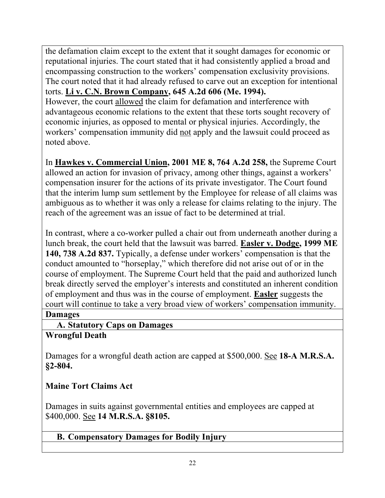the defamation claim except to the extent that it sought damages for economic or reputational injuries. The court stated that it had consistently applied a broad and encompassing construction to the workers' compensation exclusivity provisions. The court noted that it had already refused to carve out an exception for intentional torts. **Li v. C.N. Brown Company, 645 A.2d 606 (Me. 1994).** However, the court allowed the claim for defamation and interference with advantageous economic relations to the extent that these torts sought recovery of economic injuries, as opposed to mental or physical injuries. Accordingly, the workers' compensation immunity did not apply and the lawsuit could proceed as noted above.

In **Hawkes v. Commercial Union, 2001 ME 8, 764 A.2d 258,** the Supreme Court allowed an action for invasion of privacy, among other things, against a workers' compensation insurer for the actions of its private investigator. The Court found that the interim lump sum settlement by the Employee for release of all claims was ambiguous as to whether it was only a release for claims relating to the injury. The reach of the agreement was an issue of fact to be determined at trial.

In contrast, where a co-worker pulled a chair out from underneath another during a lunch break, the court held that the lawsuit was barred. **Easler v. Dodge, 1999 ME 140, 738 A.2d 837.** Typically, a defense under workers' compensation is that the conduct amounted to "horseplay," which therefore did not arise out of or in the course of employment. The Supreme Court held that the paid and authorized lunch break directly served the employer's interests and constituted an inherent condition of employment and thus was in the course of employment. **Easler** suggests the court will continue to take a very broad view of workers' compensation immunity.

#### **Damages**

**A. Statutory Caps on Damages** 

## **Wrongful Death**

Damages for a wrongful death action are capped at \$500,000. See **18-A M.R.S.A. §2-804.**

## **Maine Tort Claims Act**

Damages in suits against governmental entities and employees are capped at \$400,000. See **14 M.R.S.A. §8105.**

## **B. Compensatory Damages for Bodily Injury**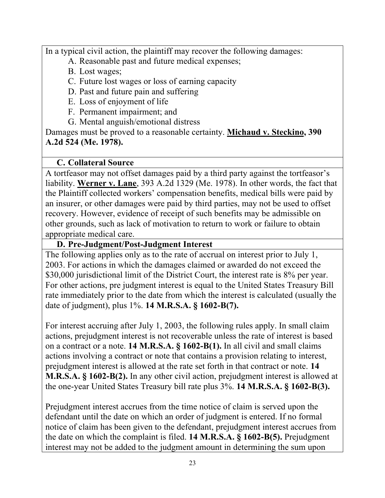In a typical civil action, the plaintiff may recover the following damages:

- A. Reasonable past and future medical expenses;
- B. Lost wages;
- C. Future lost wages or loss of earning capacity
- D. Past and future pain and suffering
- E. Loss of enjoyment of life
- F. Permanent impairment; and
- G. Mental anguish/emotional distress

Damages must be proved to a reasonable certainty. **Michaud v. Steckino, 390 A.2d 524 (Me. 1978).**

## **C. Collateral Source**

A tortfeasor may not offset damages paid by a third party against the tortfeasor's liability. **Werner v. Lane**, 393 A.2d 1329 (Me. 1978). In other words, the fact that the Plaintiff collected workers' compensation benefits, medical bills were paid by an insurer, or other damages were paid by third parties, may not be used to offset recovery. However, evidence of receipt of such benefits may be admissible on other grounds, such as lack of motivation to return to work or failure to obtain appropriate medical care.

## **D. Pre-Judgment/Post-Judgment Interest**

The following applies only as to the rate of accrual on interest prior to July 1, 2003. For actions in which the damages claimed or awarded do not exceed the \$30,000 jurisdictional limit of the District Court, the interest rate is 8% per year. For other actions, pre judgment interest is equal to the United States Treasury Bill rate immediately prior to the date from which the interest is calculated (usually the date of judgment), plus 1%. **14 M.R.S.A. § 1602-B(7).**

For interest accruing after July 1, 2003, the following rules apply. In small claim actions, prejudgment interest is not recoverable unless the rate of interest is based on a contract or a note. **14 M.R.S.A. § 1602-B(1).** In all civil and small claims actions involving a contract or note that contains a provision relating to interest, prejudgment interest is allowed at the rate set forth in that contract or note. **14 M.R.S.A. § 1602-B(2).** In any other civil action, prejudgment interest is allowed at the one-year United States Treasury bill rate plus 3%. **14 M.R.S.A. § 1602-B(3).**

Prejudgment interest accrues from the time notice of claim is served upon the defendant until the date on which an order of judgment is entered. If no formal notice of claim has been given to the defendant, prejudgment interest accrues from the date on which the complaint is filed. **14 M.R.S.A. § 1602-B(5).** Prejudgment interest may not be added to the judgment amount in determining the sum upon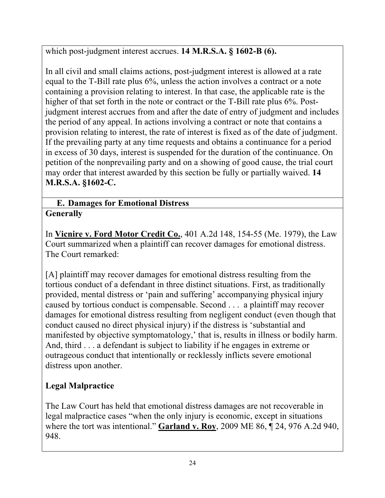which post-judgment interest accrues. **14 M.R.S.A. § 1602-B (6).**

In all civil and small claims actions, post-judgment interest is allowed at a rate equal to the T-Bill rate plus 6%, unless the action involves a contract or a note containing a provision relating to interest. In that case, the applicable rate is the higher of that set forth in the note or contract or the T-Bill rate plus 6%. Postjudgment interest accrues from and after the date of entry of judgment and includes the period of any appeal. In actions involving a contract or note that contains a provision relating to interest, the rate of interest is fixed as of the date of judgment. If the prevailing party at any time requests and obtains a continuance for a period in excess of 30 days, interest is suspended for the duration of the continuance. On petition of the nonprevailing party and on a showing of good cause, the trial court may order that interest awarded by this section be fully or partially waived. **14 M.R.S.A. §1602-C.**

#### **E. Damages for Emotional Distress Generally**

In **Vicnire v. Ford Motor Credit Co.**, 401 A.2d 148, 154-55 (Me. 1979), the Law Court summarized when a plaintiff can recover damages for emotional distress. The Court remarked:

[A] plaintiff may recover damages for emotional distress resulting from the tortious conduct of a defendant in three distinct situations. First, as traditionally provided, mental distress or 'pain and suffering' accompanying physical injury caused by tortious conduct is compensable. Second . . . a plaintiff may recover damages for emotional distress resulting from negligent conduct (even though that conduct caused no direct physical injury) if the distress is 'substantial and manifested by objective symptomatology,' that is, results in illness or bodily harm. And, third . . . a defendant is subject to liability if he engages in extreme or outrageous conduct that intentionally or recklessly inflicts severe emotional distress upon another.

# **Legal Malpractice**

The Law Court has held that emotional distress damages are not recoverable in legal malpractice cases "when the only injury is economic, except in situations where the tort was intentional." **Garland v. Roy**, 2009 ME 86, ¶ 24, 976 A.2d 940, 948.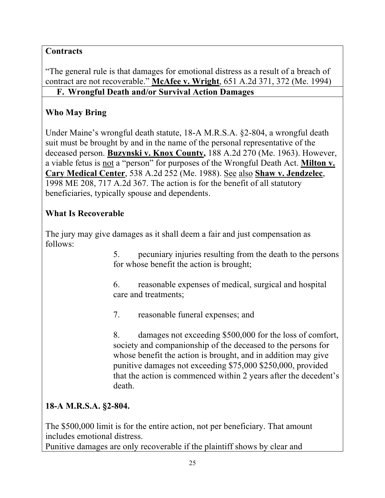## **Contracts**

"The general rule is that damages for emotional distress as a result of a breach of contract are not recoverable." **McAfee v. Wright**, 651 A.2d 371, 372 (Me. 1994) **F. Wrongful Death and/or Survival Action Damages** 

## **Who May Bring**

Under Maine's wrongful death statute, 18-A M.R.S.A. §2-804, a wrongful death suit must be brought by and in the name of the personal representative of the deceased person. **Buzynski v. Knox County,** 188 A.2d 270 (Me. 1963). However, a viable fetus is not a "person" for purposes of the Wrongful Death Act. **Milton v. Cary Medical Center**, 538 A.2d 252 (Me. 1988). See also **Shaw v. Jendzelec**, 1998 ME 208, 717 A.2d 367. The action is for the benefit of all statutory beneficiaries, typically spouse and dependents.

#### **What Is Recoverable**

The jury may give damages as it shall deem a fair and just compensation as follows:

> 5. pecuniary injuries resulting from the death to the persons for whose benefit the action is brought;

6. reasonable expenses of medical, surgical and hospital care and treatments;

7. reasonable funeral expenses; and

8. damages not exceeding \$500,000 for the loss of comfort, society and companionship of the deceased to the persons for whose benefit the action is brought, and in addition may give punitive damages not exceeding \$75,000 \$250,000, provided that the action is commenced within 2 years after the decedent's death.

## **18-A M.R.S.A. §2-804.**

The \$500,000 limit is for the entire action, not per beneficiary. That amount includes emotional distress.

Punitive damages are only recoverable if the plaintiff shows by clear and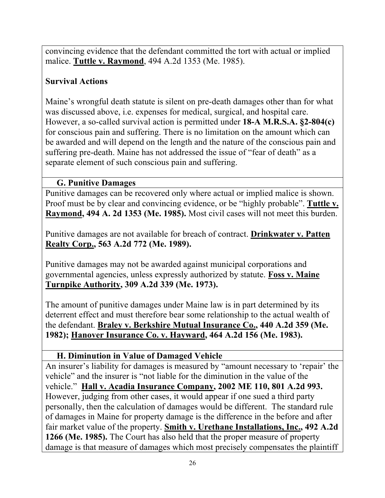convincing evidence that the defendant committed the tort with actual or implied malice. **Tuttle v. Raymond**, 494 A.2d 1353 (Me. 1985).

## **Survival Actions**

Maine's wrongful death statute is silent on pre-death damages other than for what was discussed above, i.e. expenses for medical, surgical, and hospital care. However, a so-called survival action is permitted under **18-A M.R.S.A. §2-804(c)** for conscious pain and suffering. There is no limitation on the amount which can be awarded and will depend on the length and the nature of the conscious pain and suffering pre-death. Maine has not addressed the issue of "fear of death" as a separate element of such conscious pain and suffering.

#### **G. Punitive Damages**

Punitive damages can be recovered only where actual or implied malice is shown. Proof must be by clear and convincing evidence, or be "highly probable". **Tuttle v. Raymond, 494 A. 2d 1353 (Me. 1985).** Most civil cases will not meet this burden.

Punitive damages are not available for breach of contract. **Drinkwater v. Patten Realty Corp., 563 A.2d 772 (Me. 1989).**

Punitive damages may not be awarded against municipal corporations and governmental agencies, unless expressly authorized by statute. **Foss v. Maine Turnpike Authority, 309 A.2d 339 (Me. 1973).**

The amount of punitive damages under Maine law is in part determined by its deterrent effect and must therefore bear some relationship to the actual wealth of the defendant. **Braley v. Berkshire Mutual Insurance Co., 440 A.2d 359 (Me. 1982); Hanover Insurance Co. v. Hayward, 464 A.2d 156 (Me. 1983).**

#### **H. Diminution in Value of Damaged Vehicle**

An insurer's liability for damages is measured by "amount necessary to 'repair' the vehicle" and the insurer is "not liable for the diminution in the value of the vehicle." **Hall v. Acadia Insurance Company, 2002 ME 110, 801 A.2d 993.** However, judging from other cases, it would appear if one sued a third party personally, then the calculation of damages would be different. The standard rule of damages in Maine for property damage is the difference in the before and after fair market value of the property. **Smith v. Urethane Installations, Inc., 492 A.2d 1266 (Me. 1985).** The Court has also held that the proper measure of property damage is that measure of damages which most precisely compensates the plaintiff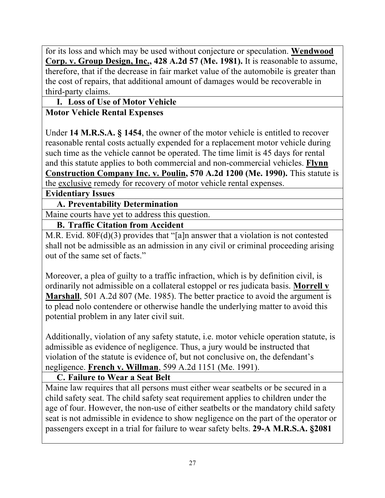for its loss and which may be used without conjecture or speculation. **Wendwood Corp. v. Group Design, Inc., 428 A.2d 57 (Me. 1981).** It is reasonable to assume, therefore, that if the decrease in fair market value of the automobile is greater than the cost of repairs, that additional amount of damages would be recoverable in third-party claims.

**I. Loss of Use of Motor Vehicle**

#### **Motor Vehicle Rental Expenses**

Under **14 M.R.S.A. § 1454**, the owner of the motor vehicle is entitled to recover reasonable rental costs actually expended for a replacement motor vehicle during such time as the vehicle cannot be operated. The time limit is 45 days for rental and this statute applies to both commercial and non-commercial vehicles. **Flynn Construction Company Inc. v. Poulin, 570 A.2d 1200 (Me. 1990).** This statute is the exclusive remedy for recovery of motor vehicle rental expenses.

**Evidentiary Issues**

**A. Preventability Determination** 

Maine courts have yet to address this question.

#### **B. Traffic Citation from Accident**

M.R. Evid. 80F(d)(3) provides that "[a]n answer that a violation is not contested shall not be admissible as an admission in any civil or criminal proceeding arising out of the same set of facts."

Moreover, a plea of guilty to a traffic infraction, which is by definition civil, is ordinarily not admissible on a collateral estoppel or res judicata basis. **Morrell v Marshall**, 501 A.2d 807 (Me. 1985). The better practice to avoid the argument is to plead nolo contendere or otherwise handle the underlying matter to avoid this potential problem in any later civil suit.

Additionally, violation of any safety statute, i.e. motor vehicle operation statute, is admissible as evidence of negligence. Thus, a jury would be instructed that violation of the statute is evidence of, but not conclusive on, the defendant's negligence. **French v. Willman**, 599 A.2d 1151 (Me. 1991).

#### **C. Failure to Wear a Seat Belt**

Maine law requires that all persons must either wear seatbelts or be secured in a child safety seat. The child safety seat requirement applies to children under the age of four. However, the non-use of either seatbelts or the mandatory child safety seat is not admissible in evidence to show negligence on the part of the operator or passengers except in a trial for failure to wear safety belts. **29-A M.R.S.A. §2081**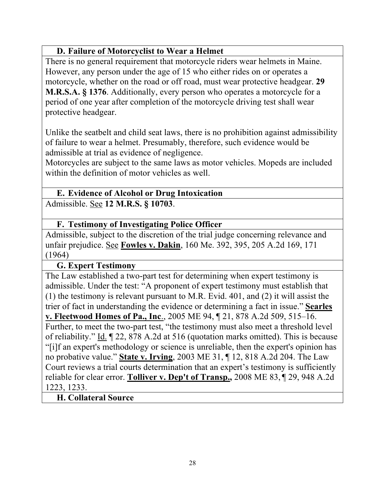#### **D. Failure of Motorcyclist to Wear a Helmet**

There is no general requirement that motorcycle riders wear helmets in Maine. However, any person under the age of 15 who either rides on or operates a motorcycle, whether on the road or off road, must wear protective headgear. **29 M.R.S.A. § 1376**. Additionally, every person who operates a motorcycle for a period of one year after completion of the motorcycle driving test shall wear protective headgear.

Unlike the seatbelt and child seat laws, there is no prohibition against admissibility of failure to wear a helmet. Presumably, therefore, such evidence would be admissible at trial as evidence of negligence.

Motorcycles are subject to the same laws as motor vehicles. Mopeds are included within the definition of motor vehicles as well.

#### **E. Evidence of Alcohol or Drug Intoxication**  Admissible. See **12 M.R.S. § 10703**.

#### **F. Testimony of Investigating Police Officer**

Admissible, subject to the discretion of the trial judge concerning relevance and unfair prejudice. See **Fowles v. Dakin**, 160 Me. 392, 395, 205 A.2d 169, 171 (1964)

#### **G. Expert Testimony**

The Law established a two-part test for determining when expert testimony is admissible. Under the test: "A proponent of expert testimony must establish that (1) the testimony is relevant pursuant to M.R. Evid. 401, and (2) it will assist the trier of fact in understanding the evidence or determining a fact in issue." **Searles v. Fleetwood Homes of Pa., Inc**., 2005 ME 94, ¶ 21, 878 A.2d 509, 515–16. Further, to meet the two-part test, "the testimony must also meet a threshold level of reliability." Id. ¶ 22, 878 A.2d at 516 (quotation marks omitted). This is because "[i]f an expert's methodology or science is unreliable, then the expert's opinion has no probative value." **State v. Irving**, 2003 ME 31, ¶ 12, 818 A.2d 204. The Law Court reviews a trial courts determination that an expert's testimony is sufficiently reliable for clear error. **Tolliver v. Dep't of Transp.,** 2008 ME 83, ¶ 29, 948 A.2d 1223, 1233.

#### **H. Collateral Source**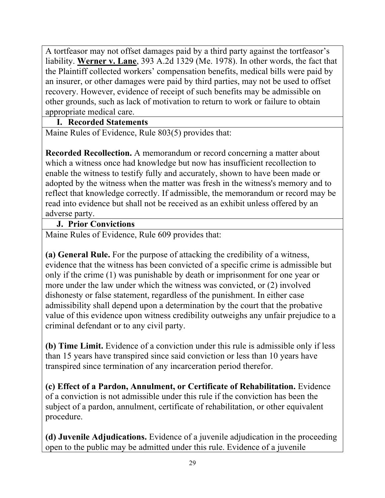A tortfeasor may not offset damages paid by a third party against the tortfeasor's liability. **Werner v. Lane**, 393 A.2d 1329 (Me. 1978). In other words, the fact that the Plaintiff collected workers' compensation benefits, medical bills were paid by an insurer, or other damages were paid by third parties, may not be used to offset recovery. However, evidence of receipt of such benefits may be admissible on other grounds, such as lack of motivation to return to work or failure to obtain appropriate medical care.

#### **I. Recorded Statements**

Maine Rules of Evidence, Rule 803(5) provides that:

**Recorded Recollection.** A memorandum or record concerning a matter about which a witness once had knowledge but now has insufficient recollection to enable the witness to testify fully and accurately, shown to have been made or adopted by the witness when the matter was fresh in the witness's memory and to reflect that knowledge correctly. If admissible, the memorandum or record may be read into evidence but shall not be received as an exhibit unless offered by an adverse party.

## **J. Prior Convictions**

Maine Rules of Evidence, Rule 609 provides that:

**(a) General Rule.** For the purpose of attacking the credibility of a witness, evidence that the witness has been convicted of a specific crime is admissible but only if the crime (1) was punishable by death or imprisonment for one year or more under the law under which the witness was convicted, or (2) involved dishonesty or false statement, regardless of the punishment. In either case admissibility shall depend upon a determination by the court that the probative value of this evidence upon witness credibility outweighs any unfair prejudice to a criminal defendant or to any civil party.

**(b) Time Limit.** Evidence of a conviction under this rule is admissible only if less than 15 years have transpired since said conviction or less than 10 years have transpired since termination of any incarceration period therefor.

**(c) Effect of a Pardon, Annulment, or Certificate of Rehabilitation.** Evidence of a conviction is not admissible under this rule if the conviction has been the subject of a pardon, annulment, certificate of rehabilitation, or other equivalent procedure.

**(d) Juvenile Adjudications.** Evidence of a juvenile adjudication in the proceeding open to the public may be admitted under this rule. Evidence of a juvenile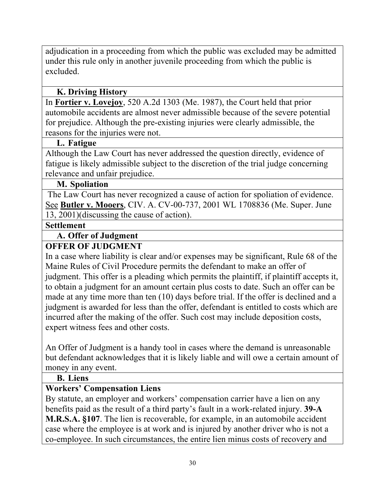adjudication in a proceeding from which the public was excluded may be admitted under this rule only in another juvenile proceeding from which the public is excluded.

#### **K. Driving History**

In **Fortier v. Lovejoy**, 520 A.2d 1303 (Me. 1987), the Court held that prior automobile accidents are almost never admissible because of the severe potential for prejudice. Although the pre-existing injuries were clearly admissible, the reasons for the injuries were not.

#### **L. Fatigue**

Although the Law Court has never addressed the question directly, evidence of fatigue is likely admissible subject to the discretion of the trial judge concerning relevance and unfair prejudice.

#### **M. Spoliation**

The Law Court has never recognized a cause of action for spoliation of evidence. See **Butler v. Mooers**, CIV. A. CV-00-737, 2001 WL 1708836 (Me. Super. June 13, 2001)(discussing the cause of action).

#### **Settlement**

#### **A. Offer of Judgment**

#### **OFFER OF JUDGMENT**

In a case where liability is clear and/or expenses may be significant, Rule 68 of the Maine Rules of Civil Procedure permits the defendant to make an offer of judgment. This offer is a pleading which permits the plaintiff, if plaintiff accepts it, to obtain a judgment for an amount certain plus costs to date. Such an offer can be made at any time more than ten (10) days before trial. If the offer is declined and a judgment is awarded for less than the offer, defendant is entitled to costs which are incurred after the making of the offer. Such cost may include deposition costs, expert witness fees and other costs.

An Offer of Judgment is a handy tool in cases where the demand is unreasonable but defendant acknowledges that it is likely liable and will owe a certain amount of money in any event.

#### **B. Liens**

#### **Workers' Compensation Liens**

By statute, an employer and workers' compensation carrier have a lien on any benefits paid as the result of a third party's fault in a work-related injury. **39-A M.R.S.A. §107**. The lien is recoverable, for example, in an automobile accident case where the employee is at work and is injured by another driver who is not a co-employee. In such circumstances, the entire lien minus costs of recovery and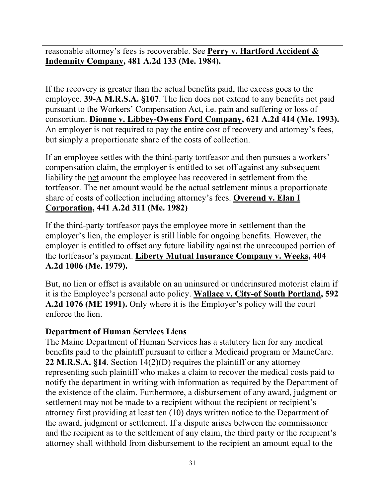reasonable attorney's fees is recoverable. See **Perry v. Hartford Accident & Indemnity Company, 481 A.2d 133 (Me. 1984).**

If the recovery is greater than the actual benefits paid, the excess goes to the employee. **39-A M.R.S.A. §107**. The lien does not extend to any benefits not paid pursuant to the Workers' Compensation Act, i.e. pain and suffering or loss of consortium. **Dionne v. Libbey-Owens Ford Company, 621 A.2d 414 (Me. 1993).**  An employer is not required to pay the entire cost of recovery and attorney's fees, but simply a proportionate share of the costs of collection.

If an employee settles with the third-party tortfeasor and then pursues a workers' compensation claim, the employer is entitled to set off against any subsequent liability the net amount the employee has recovered in settlement from the tortfeasor. The net amount would be the actual settlement minus a proportionate share of costs of collection including attorney's fees. **Overend v. Elan I Corporation, 441 A.2d 311 (Me. 1982)**

If the third-party tortfeasor pays the employee more in settlement than the employer's lien, the employer is still liable for ongoing benefits. However, the employer is entitled to offset any future liability against the unrecouped portion of the tortfeasor's payment. **Liberty Mutual Insurance Company v. Weeks, 404 A.2d 1006 (Me. 1979).**

But, no lien or offset is available on an uninsured or underinsured motorist claim if it is the Employee's personal auto policy. **Wallace v. City-of South Portland, 592 A.2d 1076 (ME 1991).** Only where it is the Employer's policy will the court enforce the lien.

## **Department of Human Services Liens**

The Maine Department of Human Services has a statutory lien for any medical benefits paid to the plaintiff pursuant to either a Medicaid program or MaineCare. **22 M.R.S.A. §14**. Section 14(2)(D) requires the plaintiff or any attorney representing such plaintiff who makes a claim to recover the medical costs paid to notify the department in writing with information as required by the Department of the existence of the claim. Furthermore, a disbursement of any award, judgment or settlement may not be made to a recipient without the recipient or recipient's attorney first providing at least ten (10) days written notice to the Department of the award, judgment or settlement. If a dispute arises between the commissioner and the recipient as to the settlement of any claim, the third party or the recipient's attorney shall withhold from disbursement to the recipient an amount equal to the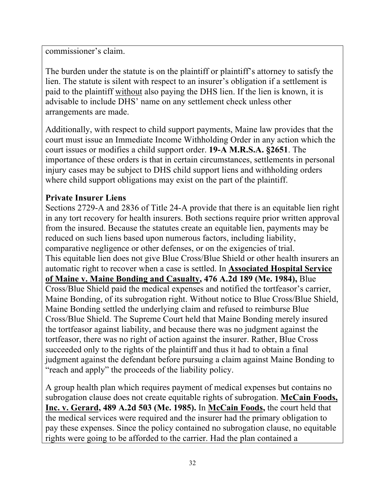commissioner's claim.

The burden under the statute is on the plaintiff or plaintiff's attorney to satisfy the lien. The statute is silent with respect to an insurer's obligation if a settlement is paid to the plaintiff without also paying the DHS lien. If the lien is known, it is advisable to include DHS' name on any settlement check unless other arrangements are made.

Additionally, with respect to child support payments, Maine law provides that the court must issue an Immediate Income Withholding Order in any action which the court issues or modifies a child support order. **19-A M.R.S.A. §2651**. The importance of these orders is that in certain circumstances, settlements in personal injury cases may be subject to DHS child support liens and withholding orders where child support obligations may exist on the part of the plaintiff.

#### **Private Insurer Liens**

Sections 2729-A and 2836 of Title 24-A provide that there is an equitable lien right in any tort recovery for health insurers. Both sections require prior written approval from the insured. Because the statutes create an equitable lien, payments may be reduced on such liens based upon numerous factors, including liability, comparative negligence or other defenses, or on the exigencies of trial. This equitable lien does not give Blue Cross/Blue Shield or other health insurers an automatic right to recover when a case is settled. In **Associated Hospital Service of Maine v. Maine Bonding and Casualty, 476 A.2d 189 (Me. 1984),** Blue Cross/Blue Shield paid the medical expenses and notified the tortfeasor's carrier, Maine Bonding, of its subrogation right. Without notice to Blue Cross/Blue Shield, Maine Bonding settled the underlying claim and refused to reimburse Blue Cross/Blue Shield. The Supreme Court held that Maine Bonding merely insured the tortfeasor against liability, and because there was no judgment against the tortfeasor, there was no right of action against the insurer. Rather, Blue Cross succeeded only to the rights of the plaintiff and thus it had to obtain a final judgment against the defendant before pursuing a claim against Maine Bonding to "reach and apply" the proceeds of the liability policy.

A group health plan which requires payment of medical expenses but contains no subrogation clause does not create equitable rights of subrogation. **McCain Foods, Inc. v. Gerard, 489 A.2d 503 (Me. 1985).** In **McCain Foods,** the court held that the medical services were required and the insurer had the primary obligation to pay these expenses. Since the policy contained no subrogation clause, no equitable rights were going to be afforded to the carrier. Had the plan contained a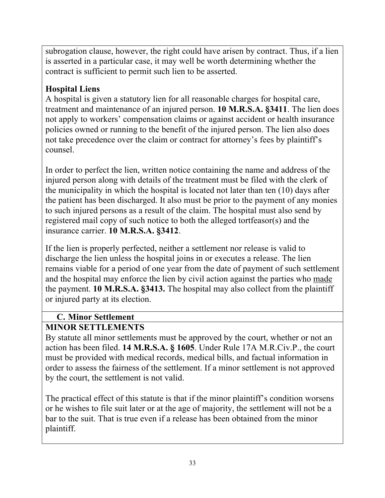subrogation clause, however, the right could have arisen by contract. Thus, if a lien is asserted in a particular case, it may well be worth determining whether the contract is sufficient to permit such lien to be asserted.

## **Hospital Liens**

A hospital is given a statutory lien for all reasonable charges for hospital care, treatment and maintenance of an injured person. **10 M.R.S.A. §3411**. The lien does not apply to workers' compensation claims or against accident or health insurance policies owned or running to the benefit of the injured person. The lien also does not take precedence over the claim or contract for attorney's fees by plaintiff's counsel.

In order to perfect the lien, written notice containing the name and address of the injured person along with details of the treatment must be filed with the clerk of the municipality in which the hospital is located not later than ten (10) days after the patient has been discharged. It also must be prior to the payment of any monies to such injured persons as a result of the claim. The hospital must also send by registered mail copy of such notice to both the alleged tortfeasor(s) and the insurance carrier. **10 M.R.S.A. §3412**.

If the lien is properly perfected, neither a settlement nor release is valid to discharge the lien unless the hospital joins in or executes a release. The lien remains viable for a period of one year from the date of payment of such settlement and the hospital may enforce the lien by civil action against the parties who made the payment. **10 M.R.S.A. §3413.** The hospital may also collect from the plaintiff or injured party at its election.

## **C. Minor Settlement**

# **MINOR SETTLEMENTS**

By statute all minor settlements must be approved by the court, whether or not an action has been filed. **14 M.R.S.A. § 1605**. Under Rule 17A M.R.Civ.P., the court must be provided with medical records, medical bills, and factual information in order to assess the fairness of the settlement. If a minor settlement is not approved by the court, the settlement is not valid.

The practical effect of this statute is that if the minor plaintiff's condition worsens or he wishes to file suit later or at the age of majority, the settlement will not be a bar to the suit. That is true even if a release has been obtained from the minor plaintiff.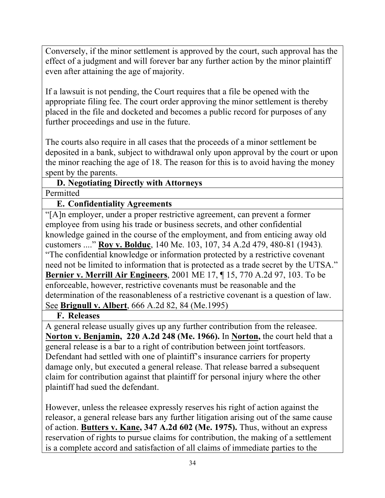Conversely, if the minor settlement is approved by the court, such approval has the effect of a judgment and will forever bar any further action by the minor plaintiff even after attaining the age of majority.

If a lawsuit is not pending, the Court requires that a file be opened with the appropriate filing fee. The court order approving the minor settlement is thereby placed in the file and docketed and becomes a public record for purposes of any further proceedings and use in the future.

The courts also require in all cases that the proceeds of a minor settlement be deposited in a bank, subject to withdrawal only upon approval by the court or upon the minor reaching the age of 18. The reason for this is to avoid having the money spent by the parents.

#### **D. Negotiating Directly with Attorneys**  Permitted

## **E. Confidentiality Agreements**

"[A]n employer, under a proper restrictive agreement, can prevent a former employee from using his trade or business secrets, and other confidential knowledge gained in the course of the employment, and from enticing away old customers ...." **Roy v. Bolduc**, 140 Me. 103, 107, 34 A.2d 479, 480-81 (1943).! "The confidential knowledge or information protected by a restrictive covenant need not be limited to information that is protected as a trade secret by the UTSA." **Bernier v. Merrill Air Engineers**, 2001 ME 17, ¶ 15, 770 A.2d 97, 103. To be enforceable, however, restrictive covenants must be reasonable and the determination of the reasonableness of a restrictive covenant is a question of law. See **Brignull v. Albert**, 666 A.2d 82, 84 (Me.1995)

#### **F. Releases**

A general release usually gives up any further contribution from the releasee. **Norton v. Benjamin, 220 A.2d 248 (Me. 1966).** In **Norton,** the court held that a general release is a bar to a right of contribution between joint tortfeasors. Defendant had settled with one of plaintiff's insurance carriers for property damage only, but executed a general release. That release barred a subsequent claim for contribution against that plaintiff for personal injury where the other plaintiff had sued the defendant.

However, unless the releasee expressly reserves his right of action against the releasor, a general release bars any further litigation arising out of the same cause of action. **Butters v. Kane, 347 A.2d 602 (Me. 1975).** Thus, without an express reservation of rights to pursue claims for contribution, the making of a settlement is a complete accord and satisfaction of all claims of immediate parties to the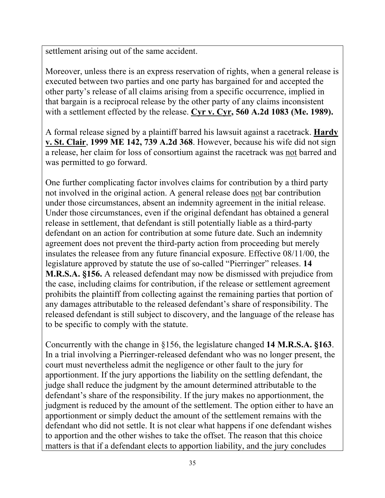settlement arising out of the same accident.

Moreover, unless there is an express reservation of rights, when a general release is executed between two parties and one party has bargained for and accepted the other party's release of all claims arising from a specific occurrence, implied in that bargain is a reciprocal release by the other party of any claims inconsistent with a settlement effected by the release. **Cyr v. Cyr, 560 A.2d 1083 (Me. 1989).**

A formal release signed by a plaintiff barred his lawsuit against a racetrack. **Hardy v. St. Clair**, **1999 ME 142, 739 A.2d 368**. However, because his wife did not sign a release, her claim for loss of consortium against the racetrack was not barred and was permitted to go forward.

One further complicating factor involves claims for contribution by a third party not involved in the original action. A general release does not bar contribution under those circumstances, absent an indemnity agreement in the initial release. Under those circumstances, even if the original defendant has obtained a general release in settlement, that defendant is still potentially liable as a third-party defendant on an action for contribution at some future date. Such an indemnity agreement does not prevent the third-party action from proceeding but merely insulates the releasee from any future financial exposure. Effective 08/11/00, the legislature approved by statute the use of so-called "Pierringer" releases. **14 M.R.S.A. §156.** A released defendant may now be dismissed with prejudice from the case, including claims for contribution, if the release or settlement agreement prohibits the plaintiff from collecting against the remaining parties that portion of any damages attributable to the released defendant's share of responsibility. The released defendant is still subject to discovery, and the language of the release has to be specific to comply with the statute.

Concurrently with the change in §156, the legislature changed **14 M.R.S.A. §163**. In a trial involving a Pierringer-released defendant who was no longer present, the court must nevertheless admit the negligence or other fault to the jury for apportionment. If the jury apportions the liability on the settling defendant, the judge shall reduce the judgment by the amount determined attributable to the defendant's share of the responsibility. If the jury makes no apportionment, the judgment is reduced by the amount of the settlement. The option either to have an apportionment or simply deduct the amount of the settlement remains with the defendant who did not settle. It is not clear what happens if one defendant wishes to apportion and the other wishes to take the offset. The reason that this choice matters is that if a defendant elects to apportion liability, and the jury concludes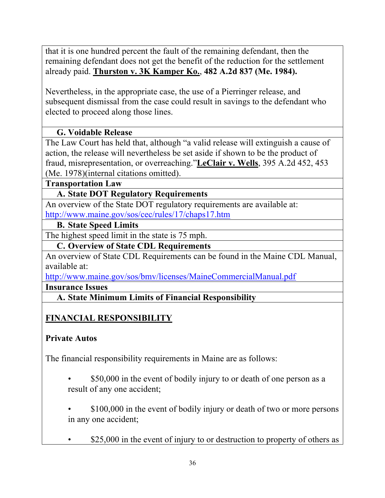that it is one hundred percent the fault of the remaining defendant, then the remaining defendant does not get the benefit of the reduction for the settlement already paid. **Thurston v. 3K Kamper Ko.**, **482 A.2d 837 (Me. 1984).**

Nevertheless, in the appropriate case, the use of a Pierringer release, and subsequent dismissal from the case could result in savings to the defendant who elected to proceed along those lines.

## **G. Voidable Release**

The Law Court has held that, although "a valid release will extinguish a cause of action, the release will nevertheless be set aside if shown to be the product of fraud, misrepresentation, or overreaching."**LeClair v. Wells**, 395 A.2d 452, 453 (Me. 1978)(internal citations omitted).

#### **Transportation Law**

#### **A. State DOT Regulatory Requirements**

An overview of the State DOT regulatory requirements are available at: http://www.maine.gov/sos/cec/rules/17/chaps17.htm

#### **B. State Speed Limits**

The highest speed limit in the state is 75 mph.

#### **C. Overview of State CDL Requirements**

An overview of State CDL Requirements can be found in the Maine CDL Manual, available at:

http://www.maine.gov/sos/bmv/licenses/MaineCommercialManual.pdf

**Insurance Issues** 

**A. State Minimum Limits of Financial Responsibility** 

## **FINANCIAL RESPONSIBILITY**

#### **Private Autos**

The financial responsibility requirements in Maine are as follows:

- \$50,000 in the event of bodily injury to or death of one person as a result of any one accident;
- \$100,000 in the event of bodily injury or death of two or more persons in any one accident;
- \$25,000 in the event of injury to or destruction to property of others as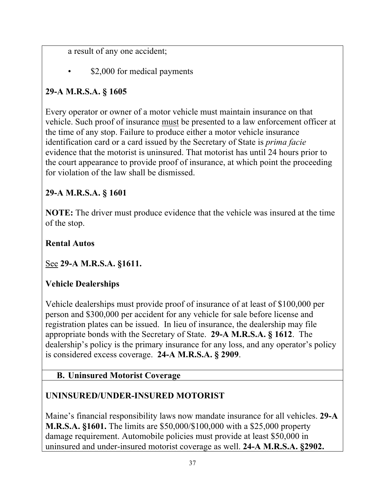a result of any one accident;

\$2,000 for medical payments

## **29-A M.R.S.A. § 1605**

Every operator or owner of a motor vehicle must maintain insurance on that vehicle. Such proof of insurance must be presented to a law enforcement officer at the time of any stop. Failure to produce either a motor vehicle insurance identification card or a card issued by the Secretary of State is *prima facie*  evidence that the motorist is uninsured. That motorist has until 24 hours prior to the court appearance to provide proof of insurance, at which point the proceeding for violation of the law shall be dismissed.

## **29-A M.R.S.A. § 1601**

**NOTE:** The driver must produce evidence that the vehicle was insured at the time of the stop.

**Rental Autos**

See **29-A M.R.S.A. §1611.** 

## **Vehicle Dealerships**

Vehicle dealerships must provide proof of insurance of at least of \$100,000 per person and \$300,000 per accident for any vehicle for sale before license and registration plates can be issued. In lieu of insurance, the dealership may file appropriate bonds with the Secretary of State. **29-A M.R.S.A. § 1612**. The dealership's policy is the primary insurance for any loss, and any operator's policy is considered excess coverage. **24-A M.R.S.A. § 2909**.

**B. Uninsured Motorist Coverage** 

## **UNINSURED/UNDER-INSURED MOTORIST**

Maine's financial responsibility laws now mandate insurance for all vehicles. **29-A M.R.S.A. §1601.** The limits are \$50,000/\$100,000 with a \$25,000 property damage requirement. Automobile policies must provide at least \$50,000 in uninsured and under-insured motorist coverage as well. **24-A M.R.S.A. §2902.**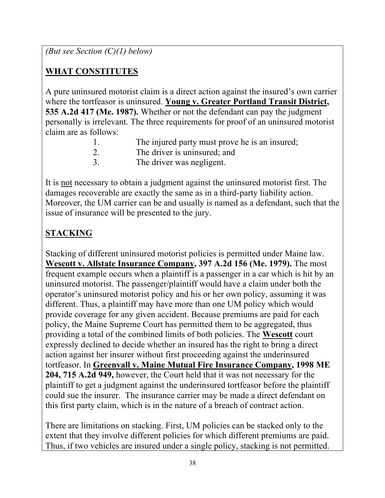*(But see Section (C)(1) below)*

## **WHAT CONSTITUTES**

A pure uninsured motorist claim is a direct action against the insured's own carrier where the tortfeasor is uninsured. **Young v. Greater Portland Transit District, 535 A.2d 417 (Me. 1987).** Whether or not the defendant can pay the judgment personally is irrelevant. The three requirements for proof of an uninsured motorist claim are as follows:

| $\perp$ . | The injured party must prove he is an insured; |
|-----------|------------------------------------------------|
| 2.        | The driver is uninsured; and                   |
| 3.        | The driver was negligent.                      |

It is not necessary to obtain a judgment against the uninsured motorist first. The damages recoverable are exactly the same as in a third-party liability action. Moreover, the UM carrier can be and usually is named as a defendant, such that the issue of insurance will be presented to the jury.

# **STACKING**

Stacking of different uninsured motorist policies is permitted under Maine law. **Wescott v. Allstate Insurance Company, 397 A.2d 156 (Me. 1979).** The most frequent example occurs when a plaintiff is a passenger in a car which is hit by an uninsured motorist. The passenger/plaintiff would have a claim under both the operator's uninsured motorist policy and his or her own policy, assuming it was different. Thus, a plaintiff may have more than one UM policy which would provide coverage for any given accident. Because premiums are paid for each policy, the Maine Supreme Court has permitted them to be aggregated, thus providing a total of the combined limits of both policies. The **Wescott** court expressly declined to decide whether an insured has the right to bring a direct action against her insurer without first proceeding against the underinsured tortfeasor. In **Greenvall v. Maine Mutual Fire Insurance Company, 1998 ME 204, 715 A.2d 949,** however, the Court held that it was not necessary for the plaintiff to get a judgment against the underinsured tortfeasor before the plaintiff could sue the insurer. The insurance carrier may be made a direct defendant on this first party claim, which is in the nature of a breach of contract action.

There are limitations on stacking. First, UM policies can be stacked only to the extent that they involve different policies for which different premiums are paid. Thus, if two vehicles are insured under a single policy, stacking is not permitted.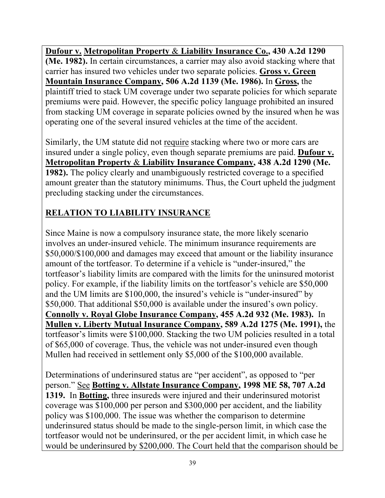**Dufour v. Metropolitan Property** & **Liability Insurance Co., 430 A.2d 1290 (Me. 1982).** In certain circumstances, a carrier may also avoid stacking where that carrier has insured two vehicles under two separate policies. **Gross v. Green Mountain Insurance Company, 506 A.2d 1139 (Me. 1986).** In **Gross,** the plaintiff tried to stack UM coverage under two separate policies for which separate premiums were paid. However, the specific policy language prohibited an insured from stacking UM coverage in separate policies owned by the insured when he was operating one of the several insured vehicles at the time of the accident.

Similarly, the UM statute did not require stacking where two or more cars are insured under a single policy, even though separate premiums are paid. **Dufour v. Metropolitan Property** & **Liability Insurance Company, 438 A.2d 1290 (Me. 1982).** The policy clearly and unambiguously restricted coverage to a specified amount greater than the statutory minimums. Thus, the Court upheld the judgment precluding stacking under the circumstances.

# **RELATION TO LIABILITY INSURANCE**

Since Maine is now a compulsory insurance state, the more likely scenario involves an under-insured vehicle. The minimum insurance requirements are \$50,000/\$100,000 and damages may exceed that amount or the liability insurance amount of the tortfeasor. To determine if a vehicle is "under-insured," the tortfeasor's liability limits are compared with the limits for the uninsured motorist policy. For example, if the liability limits on the tortfeasor's vehicle are \$50,000 and the UM limits are \$100,000, the insured's vehicle is "under-insured" by \$50,000. That additional \$50,000 is available under the insured's own policy. **Connolly v. Royal Globe Insurance Company, 455 A.2d 932 (Me. 1983).** In **Mullen v. Liberty Mutual Insurance Company, 589 A.2d 1275 (Me. 1991),** the tortfeasor's limits were \$100,000. Stacking the two UM policies resulted in a total of \$65,000 of coverage. Thus, the vehicle was not under-insured even though Mullen had received in settlement only \$5,000 of the \$100,000 available.

Determinations of underinsured status are "per accident", as opposed to "per person." See **Botting v. Allstate Insurance Company, 1998 ME 58, 707 A.2d 1319.** In **Botting,** three insureds were injured and their underinsured motorist coverage was \$100,000 per person and \$300,000 per accident, and the liability policy was \$100,000. The issue was whether the comparison to determine underinsured status should be made to the single-person limit, in which case the tortfeasor would not be underinsured, or the per accident limit, in which case he would be underinsured by \$200,000. The Court held that the comparison should be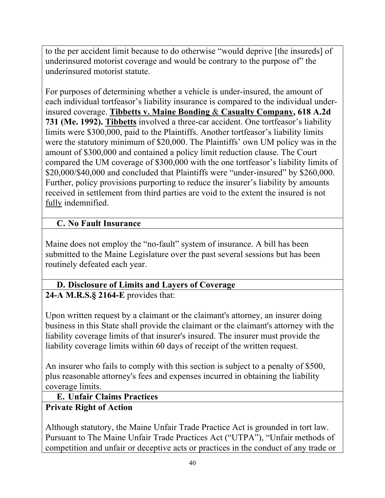to the per accident limit because to do otherwise "would deprive [the insureds] of underinsured motorist coverage and would be contrary to the purpose of" the underinsured motorist statute.

For purposes of determining whether a vehicle is under-insured, the amount of each individual tortfeasor's liability insurance is compared to the individual underinsured coverage. **Tibbetts v. Maine Bonding** & **Casualty Company, 618 A.2d 731 (Me. 1992). Tibbetts** involved a three-car accident. One tortfeasor's liability limits were \$300,000, paid to the Plaintiffs. Another tortfeasor's liability limits were the statutory minimum of \$20,000. The Plaintiffs' own UM policy was in the amount of \$300,000 and contained a policy limit reduction clause. The Court compared the UM coverage of \$300,000 with the one tortfeasor's liability limits of \$20,000/\$40,000 and concluded that Plaintiffs were "under-insured" by \$260,000. Further, policy provisions purporting to reduce the insurer's liability by amounts received in settlement from third parties are void to the extent the insured is not fully indemnified.

## **C. No Fault Insurance**

Maine does not employ the "no-fault" system of insurance. A bill has been submitted to the Maine Legislature over the past several sessions but has been routinely defeated each year.

# **D. Disclosure of Limits and Layers of Coverage**

**24-A M.R.S.§ 2164-E** provides that:

Upon written request by a claimant or the claimant's attorney, an insurer doing business in this State shall provide the claimant or the claimant's attorney with the liability coverage limits of that insurer's insured. The insurer must provide the liability coverage limits within 60 days of receipt of the written request.

An insurer who fails to comply with this section is subject to a penalty of \$500, plus reasonable attorney's fees and expenses incurred in obtaining the liability coverage limits.

#### **E. Unfair Claims Practices**

## **Private Right of Action**

Although statutory, the Maine Unfair Trade Practice Act is grounded in tort law. Pursuant to The Maine Unfair Trade Practices Act ("UTPA"), "Unfair methods of competition and unfair or deceptive acts or practices in the conduct of any trade or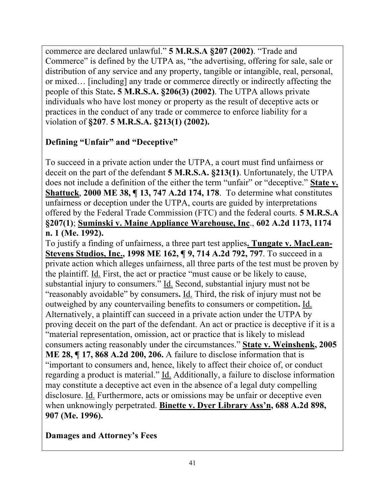commerce are declared unlawful." **5 M.R.S.A §207 (2002)**. "Trade and Commerce" is defined by the UTPA as, "the advertising, offering for sale, sale or distribution of any service and any property, tangible or intangible, real, personal, or mixed… [including] any trade or commerce directly or indirectly affecting the people of this State**. 5 M.R.S.A. §206(3) (2002)**. The UTPA allows private individuals who have lost money or property as the result of deceptive acts or practices in the conduct of any trade or commerce to enforce liability for a violation of **§207**. **5 M.R.S.A. §213(1) (2002).** 

## **Defining "Unfair" and "Deceptive"**

To succeed in a private action under the UTPA, a court must find unfairness or deceit on the part of the defendant **5 M.R.S.A. §213(1)**. Unfortunately, the UTPA does not include a definition of the either the term "unfair" or "deceptive." **State v. Shattuck**, **2000 ME 38, ¶ 13, 747 A.2d 174, 178**. To determine what constitutes unfairness or deception under the UTPA, courts are guided by interpretations offered by the Federal Trade Commission (FTC) and the federal courts. **5 M.R.S.A §207(1)**; **Suminski v. Maine Appliance Warehouse, Inc**., **602 A.2d 1173, 1174 n. 1 (Me. 1992).**

To justify a finding of unfairness, a three part test applies**. Tungate v. MacLean-Stevens Studios, Inc., 1998 ME 162, ¶ 9, 714 A.2d 792, 797**. To succeed in a private action which alleges unfairness, all three parts of the test must be proven by the plaintiff. Id. First, the act or practice "must cause or be likely to cause, substantial injury to consumers." Id. Second, substantial injury must not be "reasonably avoidable" by consumers**.** Id. Third, the risk of injury must not be outweighed by any countervailing benefits to consumers or competition**.** Id. Alternatively, a plaintiff can succeed in a private action under the UTPA by proving deceit on the part of the defendant. An act or practice is deceptive if it is a "material representation, omission, act or practice that is likely to mislead consumers acting reasonably under the circumstances." **State v. Weinshenk, 2005 ME 28, ¶ 17, 868 A.2d 200, 206.** A failure to disclose information that is "important to consumers and, hence, likely to affect their choice of, or conduct regarding a product is material." Id. Additionally, a failure to disclose information may constitute a deceptive act even in the absence of a legal duty compelling disclosure. Id. Furthermore, acts or omissions may be unfair or deceptive even when unknowingly perpetrated. **Binette v. Dyer Library Ass'n, 688 A.2d 898, 907 (Me. 1996).**

#### **Damages and Attorney's Fees**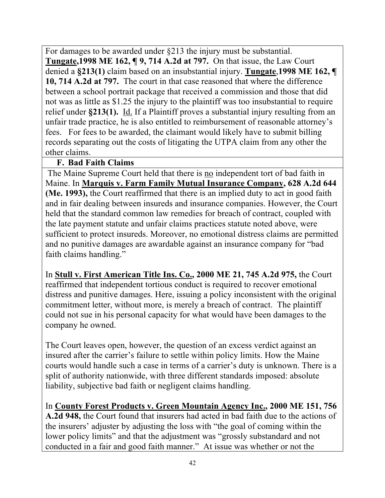For damages to be awarded under §213 the injury must be substantial. **Tungate,1998 ME 162, ¶ 9, 714 A.2d at 797.** On that issue, the Law Court denied a **§213(1)** claim based on an insubstantial injury. **Tungate**,**1998 ME 162, ¶ 10, 714 A.2d at 797.** The court in that case reasoned that where the difference between a school portrait package that received a commission and those that did not was as little as \$1.25 the injury to the plaintiff was too insubstantial to require relief under **§213(1).** Id. If a Plaintiff proves a substantial injury resulting from an unfair trade practice, he is also entitled to reimbursement of reasonable attorney's fees. For fees to be awarded, the claimant would likely have to submit billing records separating out the costs of litigating the UTPA claim from any other the other claims.

#### **F. Bad Faith Claims**

The Maine Supreme Court held that there is no independent tort of bad faith in Maine. In **Marquis v. Farm Family Mutual Insurance Company, 628 A.2d 644 (Me. 1993),** the Court reaffirmed that there is an implied duty to act in good faith and in fair dealing between insureds and insurance companies. However, the Court held that the standard common law remedies for breach of contract, coupled with the late payment statute and unfair claims practices statute noted above, were sufficient to protect insureds. Moreover, no emotional distress claims are permitted and no punitive damages are awardable against an insurance company for "bad faith claims handling."

In **Stull v. First American Title Ins. Co., 2000 ME 21, 745 A.2d 975,** the Court reaffirmed that independent tortious conduct is required to recover emotional distress and punitive damages. Here, issuing a policy inconsistent with the original commitment letter, without more, is merely a breach of contract. The plaintiff could not sue in his personal capacity for what would have been damages to the company he owned.

The Court leaves open, however, the question of an excess verdict against an insured after the carrier's failure to settle within policy limits. How the Maine courts would handle such a case in terms of a carrier's duty is unknown. There is a split of authority nationwide, with three different standards imposed: absolute liability, subjective bad faith or negligent claims handling.

In **County Forest Products v. Green Mountain Agency Inc., 2000 ME 151, 756 A.2d 948,** the Court found that insurers had acted in bad faith due to the actions of the insurers' adjuster by adjusting the loss with "the goal of coming within the lower policy limits" and that the adjustment was "grossly substandard and not conducted in a fair and good faith manner." At issue was whether or not the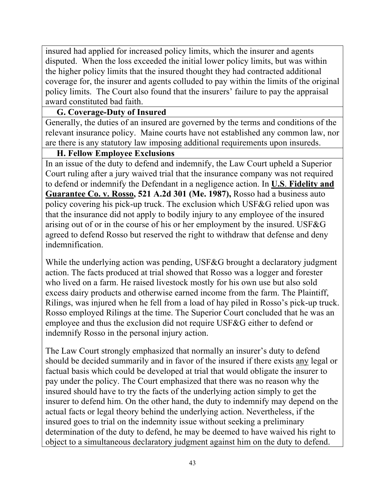insured had applied for increased policy limits, which the insurer and agents disputed. When the loss exceeded the initial lower policy limits, but was within the higher policy limits that the insured thought they had contracted additional coverage for, the insurer and agents colluded to pay within the limits of the original policy limits. The Court also found that the insurers' failure to pay the appraisal award constituted bad faith.

#### **G. Coverage-Duty of Insured**

Generally, the duties of an insured are governed by the terms and conditions of the relevant insurance policy. Maine courts have not established any common law, nor are there is any statutory law imposing additional requirements upon insureds.

#### **H. Fellow Employee Exclusions**

In an issue of the duty to defend and indemnify, the Law Court upheld a Superior Court ruling after a jury waived trial that the insurance company was not required to defend or indemnify the Defendant in a negligence action. In **U.S**. **Fidelity and Guarantee Co. v. Rosso, 521 A.2d 301 (Me. 1987),** Rosso had a business auto policy covering his pick-up truck. The exclusion which USF&G relied upon was that the insurance did not apply to bodily injury to any employee of the insured arising out of or in the course of his or her employment by the insured. USF&G agreed to defend Rosso but reserved the right to withdraw that defense and deny indemnification.

While the underlying action was pending, USF&G brought a declaratory judgment action. The facts produced at trial showed that Rosso was a logger and forester who lived on a farm. He raised livestock mostly for his own use but also sold excess dairy products and otherwise earned income from the farm. The Plaintiff, Rilings, was injured when he fell from a load of hay piled in Rosso's pick-up truck. Rosso employed Rilings at the time. The Superior Court concluded that he was an employee and thus the exclusion did not require USF&G either to defend or indemnify Rosso in the personal injury action.

The Law Court strongly emphasized that normally an insurer's duty to defend should be decided summarily and in favor of the insured if there exists any legal or factual basis which could be developed at trial that would obligate the insurer to pay under the policy. The Court emphasized that there was no reason why the insured should have to try the facts of the underlying action simply to get the insurer to defend him. On the other hand, the duty to indemnify may depend on the actual facts or legal theory behind the underlying action. Nevertheless, if the insured goes to trial on the indemnity issue without seeking a preliminary determination of the duty to defend, he may be deemed to have waived his right to object to a simultaneous declaratory judgment against him on the duty to defend.